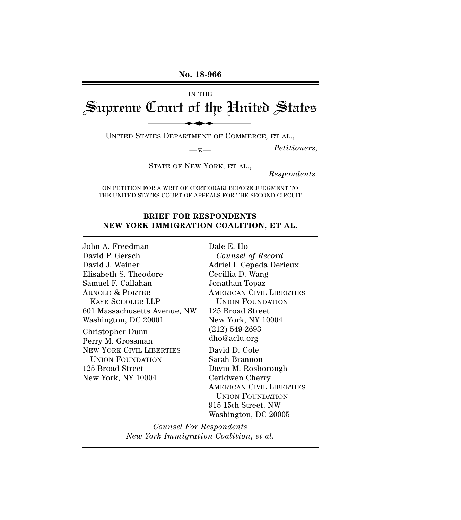# IN THE Supreme Court of the United States No. 18-966<br>In THE<br>Lourt of the Uni

UNITED STATES DEPARTMENT OF COMMERCE, ET AL.,

—v.— *Petitioners*,

STATE OF NEW YORK, ET AL.,

*Respondents.*

ON PETITION FOR A WRIT OF CERTIORARI BEFORE JUDGMENT TO THE UNITED STATES COURT OF APPEALS FOR THE SECOND CIRCUIT

## **BRIEF FOR RESPONDENTS NEW YORK IMMIGRATION COALITION, ET AL.**

John A. Freedman David P. Gersch David J. Weiner Elisabeth S. Theodore Samuel F. Callahan ARNOLD & PORTER KAYE SCHOLER LLP 601 Massachusetts Avenue, NW Washington, DC 20001 Christopher Dunn Perry M. Grossman NEW YORK CIVIL LIBERTIES UNION FOUNDATION 125 Broad Street New York, NY 10004

Dale E. Ho *Counsel of Record* Adriel I. Cepeda Derieux Cecillia D. Wang Jonathan Topaz AMERICAN CIVIL LIBERTIES UNION FOUNDATION 125 Broad Street New York, NY 10004 (212) 549-2693 dho@aclu.org David D. Cole Sarah Brannon Davin M. Rosborough Ceridwen Cherry AMERICAN CIVIL LIBERTIES UNION FOUNDATION 915 15th Street, NW Washington, DC 20005

*Counsel For Respondents New York Immigration Coalition, et al.*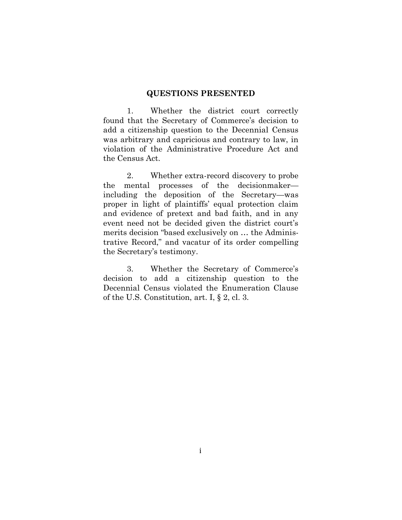#### <span id="page-1-0"></span>**QUESTIONS PRESENTED**

1. Whether the district court correctly found that the Secretary of Commerce's decision to add a citizenship question to the Decennial Census was arbitrary and capricious and contrary to law, in violation of the Administrative Procedure Act and the Census Act.

2. Whether extra-record discovery to probe the mental processes of the decisionmaker including the deposition of the Secretary—was proper in light of plaintiffs' equal protection claim and evidence of pretext and bad faith, and in any event need not be decided given the district court's merits decision "based exclusively on … the Administrative Record," and vacatur of its order compelling the Secretary's testimony.

3. Whether the Secretary of Commerce's decision to add a citizenship question to the Decennial Census violated the Enumeration Clause of the U.S. Constitution, art. I, § 2, cl. 3.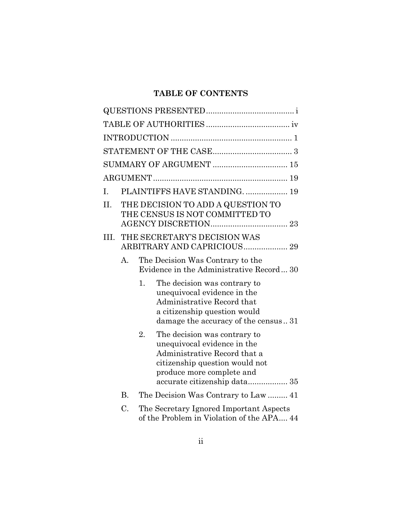# **TABLE OF CONTENTS**

|      |                |                | <b>SUMMARY OF ARGUMENT  15</b>                                                                                                                                                             |  |  |  |
|------|----------------|----------------|--------------------------------------------------------------------------------------------------------------------------------------------------------------------------------------------|--|--|--|
|      |                |                |                                                                                                                                                                                            |  |  |  |
| L.   |                |                | PLAINTIFFS HAVE STANDING.  19                                                                                                                                                              |  |  |  |
| II.  |                |                | THE DECISION TO ADD A QUESTION TO<br>THE CENSUS IS NOT COMMITTED TO                                                                                                                        |  |  |  |
| III. |                |                | THE SECRETARY'S DECISION WAS<br>ARBITRARY AND CAPRICIOUS 29                                                                                                                                |  |  |  |
|      | A <sub>1</sub> |                | The Decision Was Contrary to the<br>Evidence in the Administrative Record 30                                                                                                               |  |  |  |
|      |                | 1 <sub>1</sub> | The decision was contrary to<br>unequivocal evidence in the<br>Administrative Record that<br>a citizenship question would<br>damage the accuracy of the census31                           |  |  |  |
|      |                | 2.             | The decision was contrary to<br>unequivocal evidence in the<br>Administrative Record that a<br>citizenship question would not<br>produce more complete and<br>accurate citizenship data 35 |  |  |  |
|      | <b>B.</b>      |                |                                                                                                                                                                                            |  |  |  |
|      | C.             |                | The Secretary Ignored Important Aspects<br>of the Problem in Violation of the APA 44                                                                                                       |  |  |  |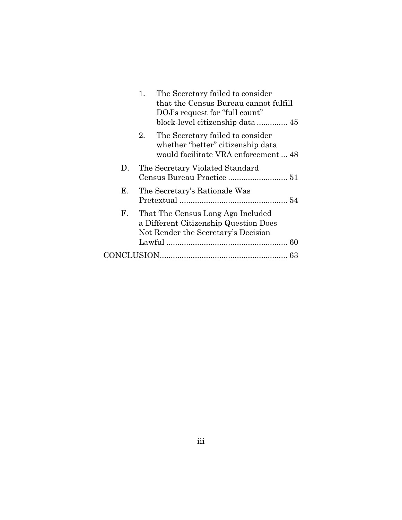|                      | The Secretary failed to consider<br>1.<br>that the Census Bureau cannot fulfill<br>DOJ's request for "full count"   |
|----------------------|---------------------------------------------------------------------------------------------------------------------|
|                      | The Secretary failed to consider<br>2.<br>whether "better" citizenship data<br>would facilitate VRA enforcement  48 |
| $D_{\rm{L}}$         | The Secretary Violated Standard                                                                                     |
| Е.                   | The Secretary's Rationale Was                                                                                       |
| $\mathbf{F}_{\cdot}$ | That The Census Long Ago Included<br>a Different Citizenship Question Does<br>Not Render the Secretary's Decision   |
|                      |                                                                                                                     |
|                      |                                                                                                                     |
|                      |                                                                                                                     |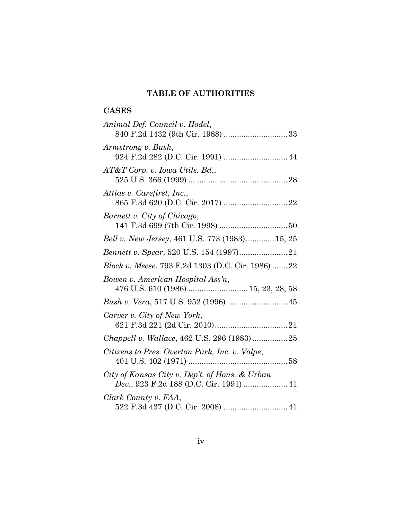# <span id="page-4-0"></span>**TABLE OF AUTHORITIES**

# **CASES**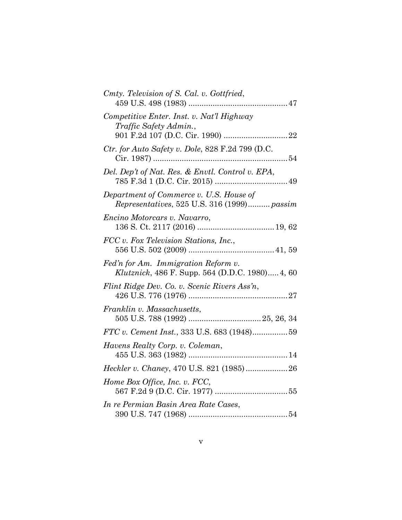| Cmty. Television of S. Cal. v. Gottfried,                                              |
|----------------------------------------------------------------------------------------|
| Competitive Enter. Inst. v. Nat'l Highway<br>Traffic Safety Admin.,                    |
| Ctr. for Auto Safety v. Dole, 828 F.2d 799 (D.C.                                       |
| Del. Dep't of Nat. Res. & Envtl. Control v. EPA,                                       |
| Department of Commerce v. U.S. House of<br>Representatives, 525 U.S. 316 (1999) passim |
| Encino Motorcars v. Navarro,                                                           |
| FCC v. Fox Television Stations, Inc.,                                                  |
| Fed'n for Am. Immigration Reform v.<br>Klutznick, 486 F. Supp. 564 (D.D.C. 1980) 4, 60 |
| Flint Ridge Dev. Co. v. Scenic Rivers Ass'n,                                           |
| Franklin v. Massachusetts,                                                             |
| FTC v. Cement Inst., 333 U.S. 683 (1948)59                                             |
| Havens Realty Corp. v. Coleman,                                                        |
|                                                                                        |
| Home Box Office, Inc. v. FCC,                                                          |
| In re Permian Basin Area Rate Cases,                                                   |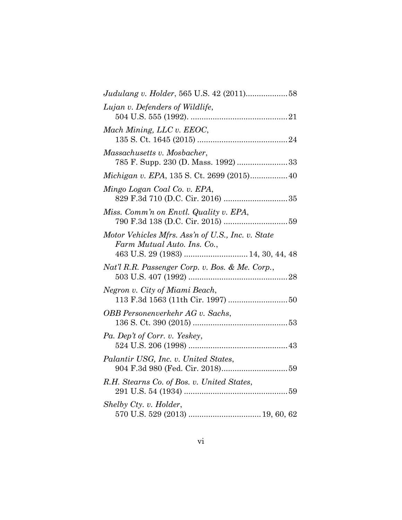| Lujan v. Defenders of Wildlife,                                                                                        |  |
|------------------------------------------------------------------------------------------------------------------------|--|
| Mach Mining, LLC v. EEOC,                                                                                              |  |
| Massachusetts v. Mosbacher,<br>785 F. Supp. 230 (D. Mass. 1992) 33                                                     |  |
| Michigan v. EPA, 135 S. Ct. 2699 (2015) 40                                                                             |  |
| Mingo Logan Coal Co. v. EPA,                                                                                           |  |
| Miss. Comm'n on Envtl. Quality v. EPA,                                                                                 |  |
| Motor Vehicles Mfrs. Ass'n of U.S., Inc. v. State<br>Farm Mutual Auto. Ins. Co.,<br>463 U.S. 29 (1983)  14, 30, 44, 48 |  |
| Nat'l R.R. Passenger Corp. v. Bos. & Me. Corp.,                                                                        |  |
| Negron v. City of Miami Beach,                                                                                         |  |
| OBB Personenverkehr AG v. Sachs,                                                                                       |  |
| Pa. Dep't of Corr. v. Yeskey,                                                                                          |  |
| Palantir USG, Inc. v. United States,                                                                                   |  |
| R.H. Stearns Co. of Bos. v. United States,                                                                             |  |
| Shelby Cty. v. Holder,                                                                                                 |  |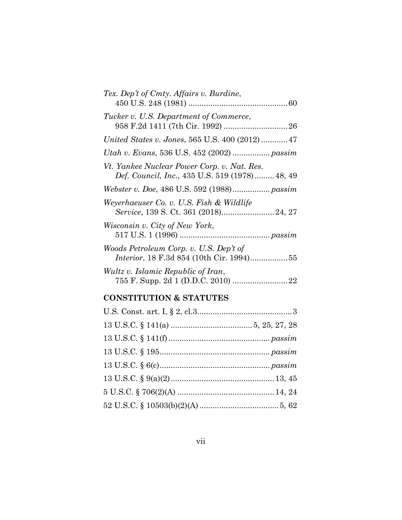| Tex. Dep't of Cmty. Affairs v. Burdine,                                                             |
|-----------------------------------------------------------------------------------------------------|
| Tucker v. U.S. Department of Commerce,                                                              |
| United States v. Jones, 565 U.S. 400 (2012)  47                                                     |
| Utah v. Evans, 536 U.S. 452 (2002)  passim                                                          |
| Vt. Yankee Nuclear Power Corp. v. Nat. Res.<br><i>Def. Council, Inc., 435 U.S. 519 (1978)48, 49</i> |
|                                                                                                     |
| Weyerhaeuser Co. v. U.S. Fish & Wildlife                                                            |
| Wisconsin v. City of New York,                                                                      |
| Woods Petroleum Corp. v. U.S. Dep't of<br>Interior, 18 F.3d 854 (10th Cir. 1994)55                  |
| Wultz v. Islamic Republic of Iran,                                                                  |
|                                                                                                     |

# **CONSTITUTION & STATUTES**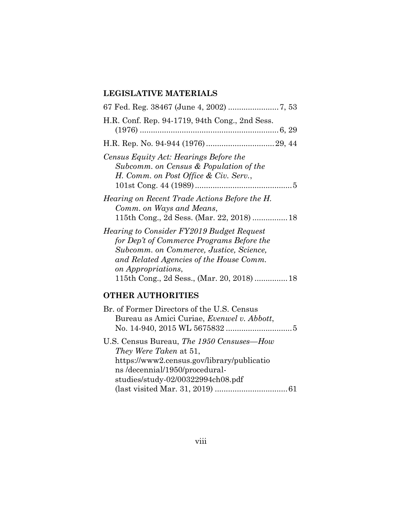# **LEGISLATIVE MATERIALS**

| H.R. Conf. Rep. 94-1719, 94th Cong., 2nd Sess.                                                                                                                                                                                                          |
|---------------------------------------------------------------------------------------------------------------------------------------------------------------------------------------------------------------------------------------------------------|
|                                                                                                                                                                                                                                                         |
| Census Equity Act: Hearings Before the<br>Subcomm. on Census & Population of the<br>H. Comm. on Post Office & Civ. Serv.,                                                                                                                               |
| Hearing on Recent Trade Actions Before the H.<br>Comm. on Ways and Means,                                                                                                                                                                               |
| <i>Hearing to Consider FY2019 Budget Request</i><br>for Dep't of Commerce Programs Before the<br>Subcomm. on Commerce, Justice, Science,<br>and Related Agencies of the House Comm.<br>on Appropriations,<br>115th Cong., 2d Sess., (Mar. 20, 2018)  18 |
|                                                                                                                                                                                                                                                         |

# **OTHER AUTHORITIES**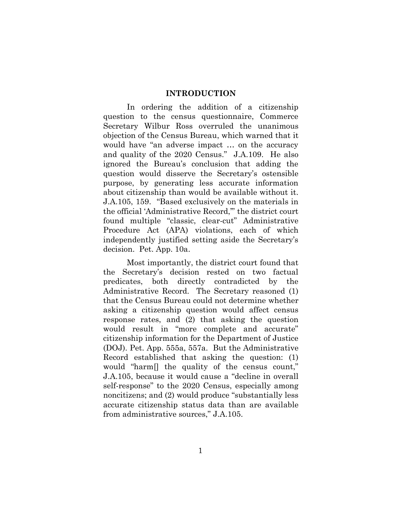#### <span id="page-9-0"></span>**INTRODUCTION**

In ordering the addition of a citizenship question to the census questionnaire, Commerce Secretary Wilbur Ross overruled the unanimous objection of the Census Bureau, which warned that it would have "an adverse impact … on the accuracy and quality of the 2020 Census." J.A.109. He also ignored the Bureau's conclusion that adding the question would disserve the Secretary's ostensible purpose, by generating less accurate information about citizenship than would be available without it. J.A.105, 159. "Based exclusively on the materials in the official 'Administrative Record,'" the district court found multiple "classic, clear-cut" Administrative Procedure Act (APA) violations, each of which independently justified setting aside the Secretary's decision. Pet. App. 10a.

Most importantly, the district court found that the Secretary's decision rested on two factual predicates, both directly contradicted by the Administrative Record. The Secretary reasoned (1) that the Census Bureau could not determine whether asking a citizenship question would affect census response rates, and (2) that asking the question would result in "more complete and accurate" citizenship information for the Department of Justice (DOJ). Pet. App. 555a, 557a. But the Administrative Record established that asking the question: (1) would "harm[] the quality of the census count," J.A.105, because it would cause a "decline in overall self-response" to the 2020 Census, especially among noncitizens; and (2) would produce "substantially less accurate citizenship status data than are available from administrative sources," J.A.105.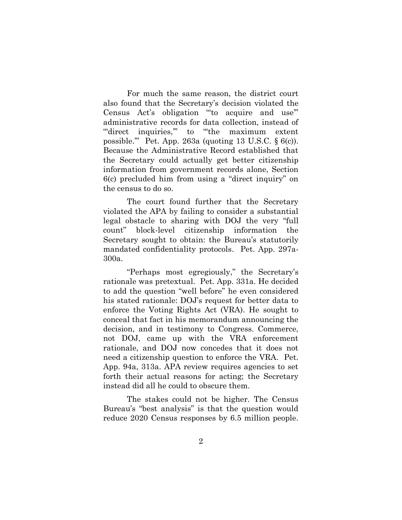For much the same reason, the district court also found that the Secretary's decision violated the Census Act's obligation "'to acquire and use'" administrative records for data collection, instead of ""direct inquiries," to "the maximum extent possible.'" Pet. App. 263a (quoting 13 U.S.C. § 6(c)). Because the Administrative Record established that the Secretary could actually get better citizenship information from government records alone, Section 6(c) precluded him from using a "direct inquiry" on the census to do so.

The court found further that the Secretary violated the APA by failing to consider a substantial legal obstacle to sharing with DOJ the very "full count" block-level citizenship information the Secretary sought to obtain: the Bureau's statutorily mandated confidentiality protocols. Pet. App. 297a-300a.

"Perhaps most egregiously," the Secretary's rationale was pretextual. Pet. App. 331a. He decided to add the question "well before" he even considered his stated rationale: DOJ's request for better data to enforce the Voting Rights Act (VRA). He sought to conceal that fact in his memorandum announcing the decision, and in testimony to Congress. Commerce, not DOJ, came up with the VRA enforcement rationale, and DOJ now concedes that it does not need a citizenship question to enforce the VRA. Pet. App. 94a, 313a. APA review requires agencies to set forth their actual reasons for acting; the Secretary instead did all he could to obscure them.

The stakes could not be higher. The Census Bureau's "best analysis" is that the question would reduce 2020 Census responses by 6.5 million people.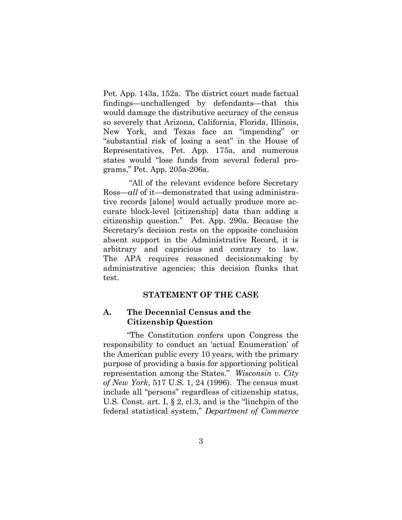Pet. App. 143a, 152a. The district court made factual findings—unchallenged by defendants—that this would damage the distributive accuracy of the census so severely that Arizona, California, Florida, Illinois, New York, and Texas face an "impending" or "substantial risk of losing a seat" in the House of Representatives, Pet. App. 175a, and numerous states would "lose funds from several federal programs," Pet. App. 205a-206a.

"All of the relevant evidence before Secretary Ross—*all* of it—demonstrated that using administrative records [alone] would actually produce more accurate block-level [citizenship] data than adding a citizenship question." Pet. App. 290a. Because the Secretary's decision rests on the opposite conclusion absent support in the Administrative Record, it is arbitrary and capricious and contrary to law. The APA requires reasoned decisionmaking by administrative agencies; this decision flunks that test.

### <span id="page-11-0"></span>**STATEMENT OF THE CASE**

## **A. The Decennial Census and the Citizenship Question**

"The Constitution confers upon Congress the responsibility to conduct an 'actual Enumeration' of the American public every 10 years, with the primary purpose of providing a basis for apportioning political representation among the States." *Wisconsin v. City of New York*, 517 U.S. 1, 24 (1996). The census must include all "persons" regardless of citizenship status, U.S. Const. art. I, § 2, cl.3, and is the "linchpin of the federal statistical system," *Department of Commerce*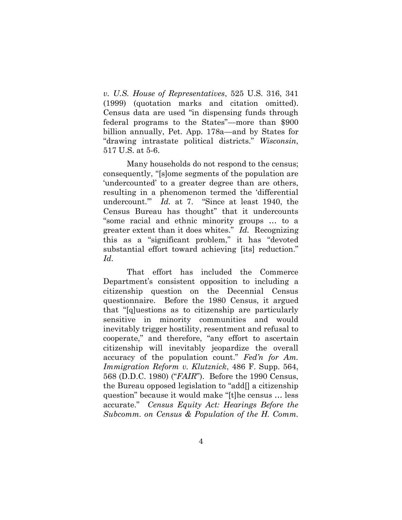*v. U.S. House of Representatives*, 525 U.S. 316, 341 (1999) (quotation marks and citation omitted). Census data are used "in dispensing funds through federal programs to the States"—more than \$900 billion annually, Pet. App. 178a—and by States for "drawing intrastate political districts." *Wisconsin*, 517 U.S. at 5-6.

Many households do not respond to the census; consequently, "[s]ome segments of the population are 'undercounted' to a greater degree than are others, resulting in a phenomenon termed the 'differential undercount.'" *Id.* at 7. "Since at least 1940, the Census Bureau has thought" that it undercounts "some racial and ethnic minority groups … to a greater extent than it does whites." *Id.* Recognizing this as a "significant problem," it has "devoted substantial effort toward achieving [its] reduction." *Id*.

That effort has included the Commerce Department's consistent opposition to including a citizenship question on the Decennial Census questionnaire. Before the 1980 Census, it argued that "[q]uestions as to citizenship are particularly sensitive in minority communities and would inevitably trigger hostility, resentment and refusal to cooperate," and therefore, "any effort to ascertain citizenship will inevitably jeopardize the overall accuracy of the population count." *Fed'n for Am. Immigration Reform v. Klutznick*, 486 F. Supp. 564, 568 (D.D.C. 1980) ("*FAIR*"). Before the 1990 Census, the Bureau opposed legislation to "add[] a citizenship question" because it would make "[t]he census … less accurate." *Census Equity Act: Hearings Before the Subcomm. on Census & Population of the H. Comm.*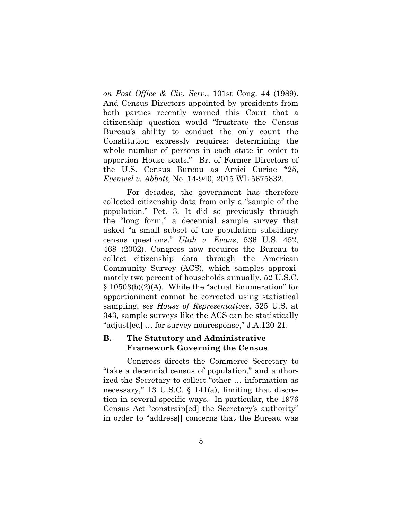*on Post Office & Civ. Serv.*, 101st Cong. 44 (1989). And Census Directors appointed by presidents from both parties recently warned this Court that a citizenship question would "frustrate the Census Bureau's ability to conduct the only count the Constitution expressly requires: determining the whole number of persons in each state in order to apportion House seats." Br. of Former Directors of the U.S. Census Bureau as Amici Curiae \*25, *Evenwel v. Abbott*, No. 14-940, 2015 WL 5675832.

For decades, the government has therefore collected citizenship data from only a "sample of the population." Pet. 3. It did so previously through the "long form," a decennial sample survey that asked "a small subset of the population subsidiary census questions." *Utah v. Evans*, 536 U.S. 452, 468 (2002). Congress now requires the Bureau to collect citizenship data through the American Community Survey (ACS), which samples approximately two percent of households annually. 52 U.S.C. § 10503(b)(2)(A). While the "actual Enumeration" for apportionment cannot be corrected using statistical sampling, *see House of Representatives*, 525 U.S. at 343, sample surveys like the ACS can be statistically "adjust[ed] … for survey nonresponse," J.A.120-21.

## **B. The Statutory and Administrative Framework Governing the Census**

Congress directs the Commerce Secretary to "take a decennial census of population," and authorized the Secretary to collect "other … information as necessary," 13 U.S.C. § 141(a), limiting that discretion in several specific ways. In particular, the 1976 Census Act "constrain[ed] the Secretary's authority" in order to "address[] concerns that the Bureau was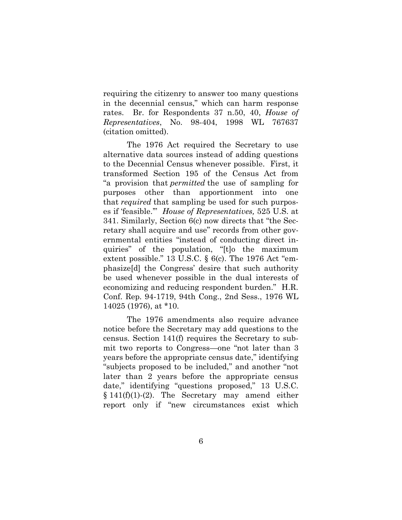requiring the citizenry to answer too many questions in the decennial census," which can harm response rates. Br. for Respondents 37 n.50, 40, *House of Representatives*, No. 98-404, 1998 WL 767637 (citation omitted).

The 1976 Act required the Secretary to use alternative data sources instead of adding questions to the Decennial Census whenever possible. First, it transformed Section 195 of the Census Act from "a provision that *permitted* the use of sampling for purposes other than apportionment into one that *required* that sampling be used for such purposes if 'feasible.'" *House of Representatives,* 525 U.S. at 341. Similarly, Section 6(c) now directs that "the Secretary shall acquire and use" records from other governmental entities "instead of conducting direct inquiries" of the population, "[t]o the maximum extent possible." 13 U.S.C. § 6(c). The 1976 Act "emphasize[d] the Congress' desire that such authority be used whenever possible in the dual interests of economizing and reducing respondent burden." H.R. Conf. Rep. 94-1719, 94th Cong., 2nd Sess., 1976 WL 14025 (1976), at \*10.

The 1976 amendments also require advance notice before the Secretary may add questions to the census. Section 141(f) requires the Secretary to submit two reports to Congress—one "not later than 3 years before the appropriate census date," identifying "subjects proposed to be included," and another "not later than 2 years before the appropriate census date," identifying "questions proposed," 13 U.S.C. § 141(f)(1)-(2). The Secretary may amend either report only if "new circumstances exist which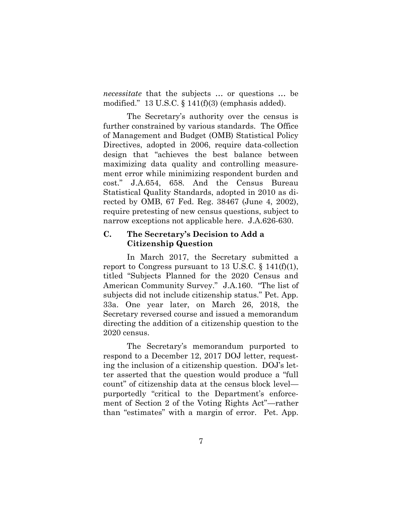*necessitate* that the subjects … or questions … be modified." 13 U.S.C. § 141(f)(3) (emphasis added).

The Secretary's authority over the census is further constrained by various standards. The Office of Management and Budget (OMB) Statistical Policy Directives, adopted in 2006, require data-collection design that "achieves the best balance between maximizing data quality and controlling measurement error while minimizing respondent burden and cost." J.A.654, 658. And the Census Bureau Statistical Quality Standards, adopted in 2010 as directed by OMB, 67 Fed. Reg. 38467 (June 4, 2002), require pretesting of new census questions, subject to narrow exceptions not applicable here. J.A.626-630.

## **C. The Secretary's Decision to Add a Citizenship Question**

In March 2017, the Secretary submitted a report to Congress pursuant to 13 U.S.C.  $\S$  141(f)(1), titled "Subjects Planned for the 2020 Census and American Community Survey." J.A.160. "The list of subjects did not include citizenship status." Pet. App. 33a. One year later, on March 26, 2018, the Secretary reversed course and issued a memorandum directing the addition of a citizenship question to the 2020 census.

The Secretary's memorandum purported to respond to a December 12, 2017 DOJ letter, requesting the inclusion of a citizenship question. DOJ's letter asserted that the question would produce a "full count" of citizenship data at the census block level purportedly "critical to the Department's enforcement of Section 2 of the Voting Rights Act"—rather than "estimates" with a margin of error. Pet. App.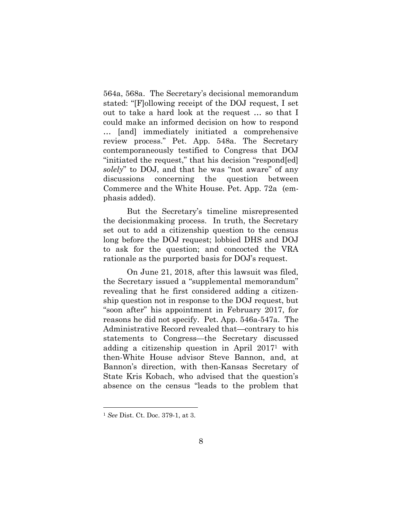564a, 568a. The Secretary's decisional memorandum stated: "[F]ollowing receipt of the DOJ request, I set out to take a hard look at the request … so that I could make an informed decision on how to respond … [and] immediately initiated a comprehensive review process." Pet. App. 548a. The Secretary contemporaneously testified to Congress that DOJ "initiated the request," that his decision "respond[ed] *solely*" to DOJ, and that he was "not aware" of any discussions concerning the question between Commerce and the White House. Pet. App. 72a (emphasis added).

But the Secretary's timeline misrepresented the decisionmaking process. In truth, the Secretary set out to add a citizenship question to the census long before the DOJ request; lobbied DHS and DOJ to ask for the question; and concocted the VRA rationale as the purported basis for DOJ's request.

On June 21, 2018, after this lawsuit was filed, the Secretary issued a "supplemental memorandum" revealing that he first considered adding a citizenship question not in response to the DOJ request, but "soon after" his appointment in February 2017, for reasons he did not specify. Pet. App. 546a-547a. The Administrative Record revealed that—contrary to his statements to Congress—the Secretary discussed adding a citizenship question in April 2017<sup>1</sup> with then-White House advisor Steve Bannon, and, at Bannon's direction, with then-Kansas Secretary of State Kris Kobach, who advised that the question's absence on the census "leads to the problem that

l

<sup>1</sup> *See* Dist. Ct. Doc. 379-1, at 3.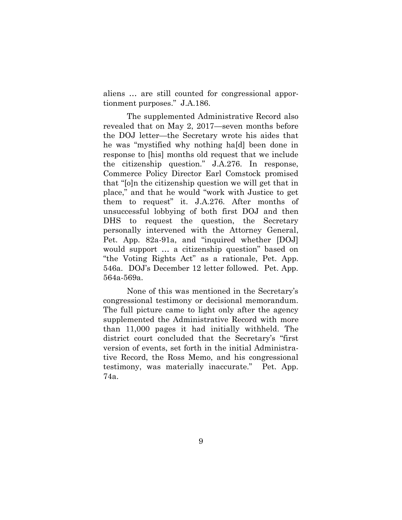aliens … are still counted for congressional apportionment purposes." J.A.186.

The supplemented Administrative Record also revealed that on May 2, 2017—seven months before the DOJ letter—the Secretary wrote his aides that he was "mystified why nothing ha[d] been done in response to [his] months old request that we include the citizenship question." J.A.276. In response, Commerce Policy Director Earl Comstock promised that "[o]n the citizenship question we will get that in place," and that he would "work with Justice to get them to request" it. J.A.276. After months of unsuccessful lobbying of both first DOJ and then DHS to request the question, the Secretary personally intervened with the Attorney General, Pet. App. 82a-91a, and "inquired whether [DOJ] would support … a citizenship question" based on "the Voting Rights Act" as a rationale, Pet. App. 546a. DOJ's December 12 letter followed. Pet. App. 564a-569a.

None of this was mentioned in the Secretary's congressional testimony or decisional memorandum. The full picture came to light only after the agency supplemented the Administrative Record with more than 11,000 pages it had initially withheld. The district court concluded that the Secretary's "first version of events, set forth in the initial Administrative Record, the Ross Memo, and his congressional testimony, was materially inaccurate." Pet. App. 74a.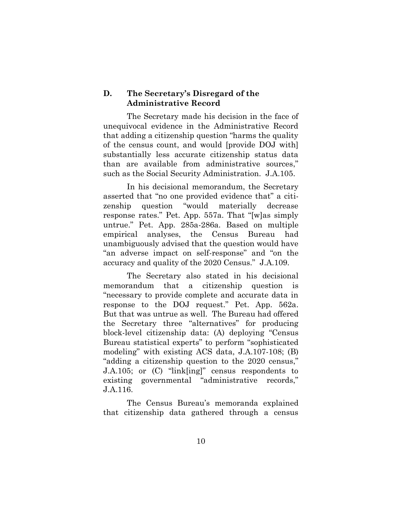#### **D. The Secretary's Disregard of the Administrative Record**

The Secretary made his decision in the face of unequivocal evidence in the Administrative Record that adding a citizenship question "harms the quality of the census count, and would [provide DOJ with] substantially less accurate citizenship status data than are available from administrative sources," such as the Social Security Administration. J.A.105.

In his decisional memorandum, the Secretary asserted that "no one provided evidence that" a citizenship question "would materially decrease response rates." Pet. App. 557a. That "[w]as simply untrue." Pet. App. 285a-286a. Based on multiple empirical analyses, the Census Bureau had unambiguously advised that the question would have "an adverse impact on self-response" and "on the accuracy and quality of the 2020 Census." J.A.109.

The Secretary also stated in his decisional memorandum that a citizenship question is "necessary to provide complete and accurate data in response to the DOJ request." Pet. App. 562a. But that was untrue as well. The Bureau had offered the Secretary three "alternatives" for producing block-level citizenship data: (A) deploying "Census Bureau statistical experts" to perform "sophisticated modeling" with existing ACS data, J.A.107-108; (B) "adding a citizenship question to the 2020 census," J.A.105; or (C) "link[ing]" census respondents to existing governmental "administrative records," J.A.116.

The Census Bureau's memoranda explained that citizenship data gathered through a census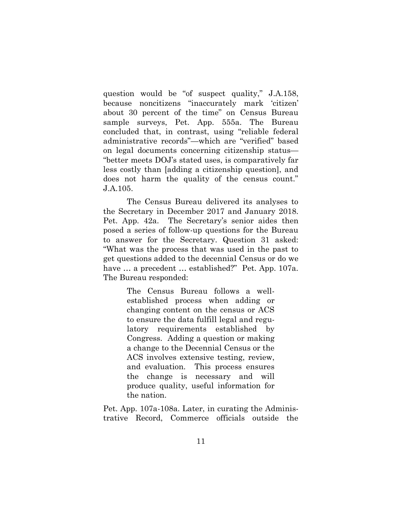question would be "of suspect quality," J.A.158, because noncitizens "inaccurately mark 'citizen' about 30 percent of the time" on Census Bureau sample surveys, Pet. App. 555a. The Bureau concluded that, in contrast, using "reliable federal administrative records"—which are "verified" based on legal documents concerning citizenship status— "better meets DOJ's stated uses, is comparatively far less costly than [adding a citizenship question], and does not harm the quality of the census count." J.A.105.

The Census Bureau delivered its analyses to the Secretary in December 2017 and January 2018. Pet. App. 42a. The Secretary's senior aides then posed a series of follow-up questions for the Bureau to answer for the Secretary. Question 31 asked: "What was the process that was used in the past to get questions added to the decennial Census or do we have … a precedent … established?" Pet. App. 107a*.* The Bureau responded:

> The Census Bureau follows a wellestablished process when adding or changing content on the census or ACS to ensure the data fulfill legal and regulatory requirements established by Congress. Adding a question or making a change to the Decennial Census or the ACS involves extensive testing, review, and evaluation. This process ensures the change is necessary and will produce quality, useful information for the nation.

Pet. App. 107a-108a. Later, in curating the Administrative Record, Commerce officials outside the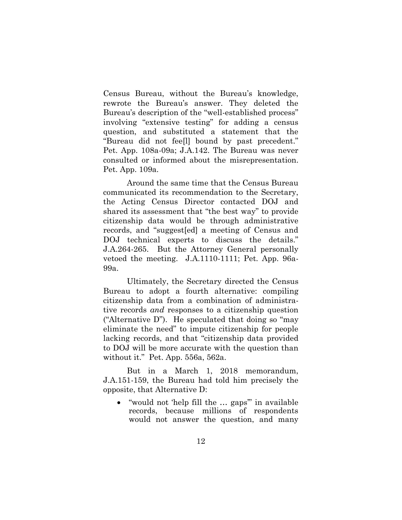Census Bureau, without the Bureau's knowledge, rewrote the Bureau's answer. They deleted the Bureau's description of the "well-established process" involving "extensive testing" for adding a census question, and substituted a statement that the "Bureau did not fee[l] bound by past precedent." Pet. App. 108a-09a; J.A.142. The Bureau was never consulted or informed about the misrepresentation. Pet. App. 109a.

Around the same time that the Census Bureau communicated its recommendation to the Secretary, the Acting Census Director contacted DOJ and shared its assessment that "the best way" to provide citizenship data would be through administrative records, and "suggest[ed] a meeting of Census and DOJ technical experts to discuss the details." J.A.264-265. But the Attorney General personally vetoed the meeting. J.A.1110-1111; Pet. App. 96a-99a.

Ultimately, the Secretary directed the Census Bureau to adopt a fourth alternative: compiling citizenship data from a combination of administrative records *and* responses to a citizenship question ("Alternative D"). He speculated that doing so "may eliminate the need" to impute citizenship for people lacking records, and that "citizenship data provided to DOJ will be more accurate with the question than without it." Pet. App. 556a, 562a.

But in a March 1, 2018 memorandum, J.A.151-159, the Bureau had told him precisely the opposite, that Alternative D:

 "would not 'help fill the … gaps'" in available records, because millions of respondents would not answer the question, and many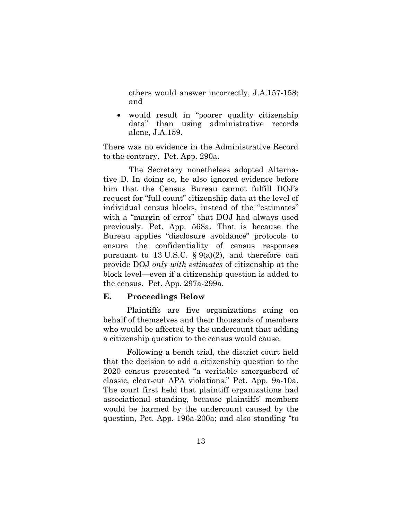others would answer incorrectly, J.A.157-158; and

 would result in "poorer quality citizenship data" than using administrative records alone, J.A.159.

There was no evidence in the Administrative Record to the contrary. Pet. App. 290a.

The Secretary nonetheless adopted Alternative D. In doing so, he also ignored evidence before him that the Census Bureau cannot fulfill DOJ's request for "full count" citizenship data at the level of individual census blocks, instead of the "estimates" with a "margin of error" that DOJ had always used previously. Pet. App. 568a. That is because the Bureau applies "disclosure avoidance" protocols to ensure the confidentiality of census responses pursuant to 13 U.S.C.  $\S 9(a)(2)$ , and therefore can provide DOJ *only with estimates* of citizenship at the block level—even if a citizenship question is added to the census. Pet. App. 297a-299a.

#### **E. Proceedings Below**

Plaintiffs are five organizations suing on behalf of themselves and their thousands of members who would be affected by the undercount that adding a citizenship question to the census would cause.

Following a bench trial, the district court held that the decision to add a citizenship question to the 2020 census presented "a veritable smorgasbord of classic, clear-cut APA violations." Pet. App. 9a-10a. The court first held that plaintiff organizations had associational standing, because plaintiffs' members would be harmed by the undercount caused by the question, Pet. App. 196a-200a; and also standing "to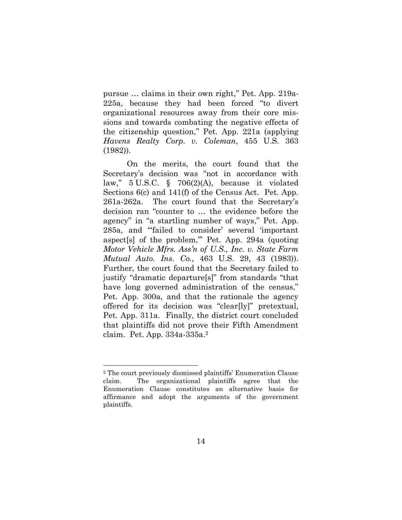pursue … claims in their own right," Pet. App. 219a-225a, because they had been forced "to divert organizational resources away from their core missions and towards combating the negative effects of the citizenship question," Pet. App. 221a (applying *Havens Realty Corp. v. Coleman*, 455 U.S. 363 (1982)).

On the merits, the court found that the Secretary's decision was "not in accordance with law," 5 U.S.C. § 706(2)(A), because it violated Sections 6(c) and 141(f) of the Census Act. Pet. App. 261a-262a. The court found that the Secretary's decision ran "counter to … the evidence before the agency" in "a startling number of ways," Pet. App. 285a, and "'failed to consider' several 'important aspect[s] of the problem,'" Pet. App. 294a (quoting *Motor Vehicle Mfrs. Ass'n of U.S., Inc. v. State Farm Mutual Auto. Ins. Co.*, 463 U.S. 29, 43 (1983)). Further, the court found that the Secretary failed to justify "dramatic departure[s]" from standards "that have long governed administration of the census," Pet. App. 300a, and that the rationale the agency offered for its decision was "clear[ly]" pretextual, Pet. App. 311a. Finally, the district court concluded that plaintiffs did not prove their Fifth Amendment claim. Pet. App. 334a-335a.<sup>2</sup>

l

<sup>2</sup> The court previously dismissed plaintiffs' Enumeration Clause claim. The organizational plaintiffs agree that the Enumeration Clause constitutes an alternative basis for affirmance and adopt the arguments of the government plaintiffs.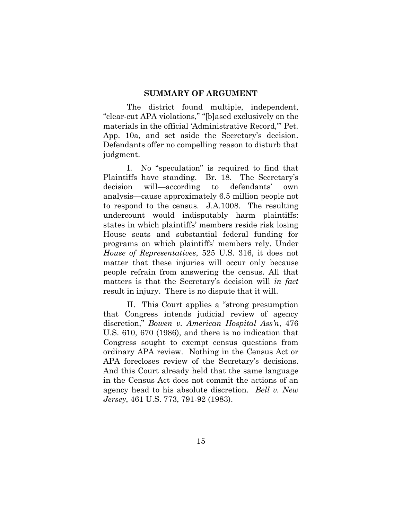#### <span id="page-23-0"></span>**SUMMARY OF ARGUMENT**

The district found multiple, independent, "clear-cut APA violations," "[b]ased exclusively on the materials in the official 'Administrative Record,'" Pet. App. 10a, and set aside the Secretary's decision. Defendants offer no compelling reason to disturb that judgment.

I. No "speculation" is required to find that Plaintiffs have standing. Br. 18. The Secretary's decision will—according to defendants' own analysis—cause approximately 6.5 million people not to respond to the census. J.A.1008. The resulting undercount would indisputably harm plaintiffs: states in which plaintiffs' members reside risk losing House seats and substantial federal funding for programs on which plaintiffs' members rely. Under *House of Representatives*, 525 U.S. 316, it does not matter that these injuries will occur only because people refrain from answering the census. All that matters is that the Secretary's decision will *in fact* result in injury. There is no dispute that it will.

II. This Court applies a "strong presumption that Congress intends judicial review of agency discretion," *Bowen v. American Hospital Ass'n*, 476 U.S. 610, 670 (1986), and there is no indication that Congress sought to exempt census questions from ordinary APA review. Nothing in the Census Act or APA forecloses review of the Secretary's decisions. And this Court already held that the same language in the Census Act does not commit the actions of an agency head to his absolute discretion. *Bell v. New Jersey*, 461 U.S. 773, 791-92 (1983).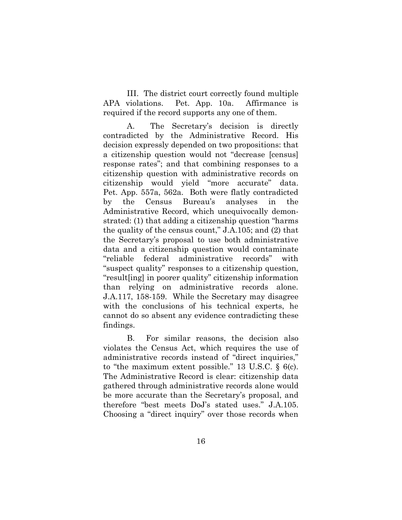III. The district court correctly found multiple APA violations. Pet. App. 10a. Affirmance is required if the record supports any one of them.

A. The Secretary's decision is directly contradicted by the Administrative Record. His decision expressly depended on two propositions: that a citizenship question would not "decrease [census] response rates"; and that combining responses to a citizenship question with administrative records on citizenship would yield "more accurate" data. Pet. App. 557a, 562a. Both were flatly contradicted by the Census Bureau's analyses in the Administrative Record, which unequivocally demonstrated: (1) that adding a citizenship question "harms the quality of the census count," J.A.105; and (2) that the Secretary's proposal to use both administrative data and a citizenship question would contaminate "reliable federal administrative records" with "suspect quality" responses to a citizenship question, "result[ing] in poorer quality" citizenship information than relying on administrative records alone. J.A.117, 158-159. While the Secretary may disagree with the conclusions of his technical experts, he cannot do so absent any evidence contradicting these findings.

B. For similar reasons, the decision also violates the Census Act, which requires the use of administrative records instead of "direct inquiries," to "the maximum extent possible." 13 U.S.C. § 6(c). The Administrative Record is clear: citizenship data gathered through administrative records alone would be more accurate than the Secretary's proposal, and therefore "best meets DoJ's stated uses." J.A.105. Choosing a "direct inquiry" over those records when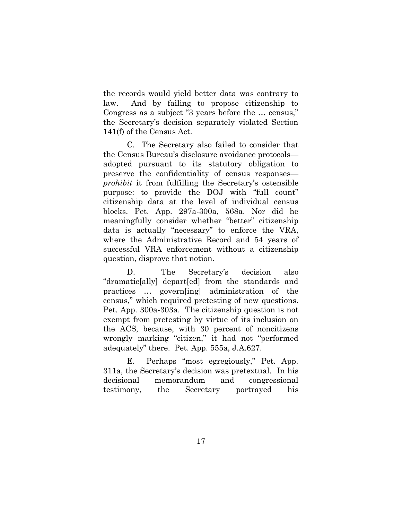the records would yield better data was contrary to law. And by failing to propose citizenship to Congress as a subject "3 years before the … census," the Secretary's decision separately violated Section 141(f) of the Census Act.

C. The Secretary also failed to consider that the Census Bureau's disclosure avoidance protocols adopted pursuant to its statutory obligation to preserve the confidentiality of census responses *prohibit* it from fulfilling the Secretary's ostensible purpose: to provide the DOJ with "full count" citizenship data at the level of individual census blocks. Pet. App. 297a-300a, 568a. Nor did he meaningfully consider whether "better" citizenship data is actually "necessary" to enforce the VRA, where the Administrative Record and 54 years of successful VRA enforcement without a citizenship question, disprove that notion.

D. The Secretary's decision also "dramatic[ally] depart[ed] from the standards and practices … govern[ing] administration of the census," which required pretesting of new questions. Pet. App. 300a-303a. The citizenship question is not exempt from pretesting by virtue of its inclusion on the ACS, because, with 30 percent of noncitizens wrongly marking "citizen," it had not "performed adequately" there. Pet. App. 555a, J.A.627.

E. Perhaps "most egregiously," Pet. App. 311a, the Secretary's decision was pretextual. In his decisional memorandum and congressional testimony, the Secretary portrayed his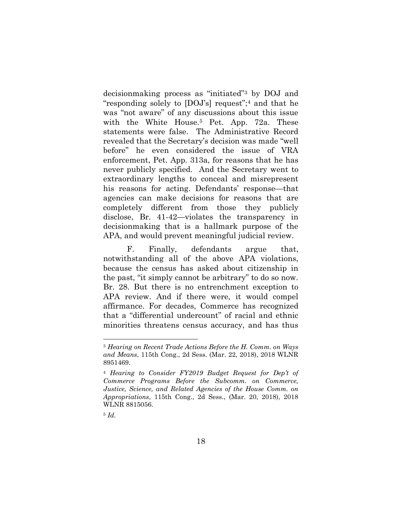decisionmaking process as "initiated"<sup>3</sup> by DOJ and "responding solely to [DOJ's] request";<sup>4</sup> and that he was "not aware" of any discussions about this issue with the White House.<sup>5</sup> Pet. App. 72a. These statements were false. The Administrative Record revealed that the Secretary's decision was made "well before" he even considered the issue of VRA enforcement, Pet. App. 313a, for reasons that he has never publicly specified. And the Secretary went to extraordinary lengths to conceal and misrepresent his reasons for acting. Defendants' response—that agencies can make decisions for reasons that are completely different from those they publicly disclose, Br. 41-42—violates the transparency in decisionmaking that is a hallmark purpose of the APA, and would prevent meaningful judicial review.

F. Finally, defendants argue that, notwithstanding all of the above APA violations, because the census has asked about citizenship in the past, "it simply cannot be arbitrary" to do so now. Br. 28. But there is no entrenchment exception to APA review. And if there were, it would compel affirmance. For decades, Commerce has recognized that a "differential undercount" of racial and ethnic minorities threatens census accuracy, and has thus

l

<sup>3</sup> *Hearing on Recent Trade Actions Before the H. Comm. on Ways and Means*, 115th Cong., 2d Sess. (Mar. 22, 2018), 2018 WLNR 8951469.

<sup>4</sup> *Hearing to Consider FY2019 Budget Request for Dep't of Commerce Programs Before the Subcomm. on Commerce, Justice, Science, and Related Agencies of the House Comm. on Appropriations*, 115th Cong., 2d Sess., (Mar. 20, 2018), 2018 WLNR 8815056.

<sup>5</sup> *Id.*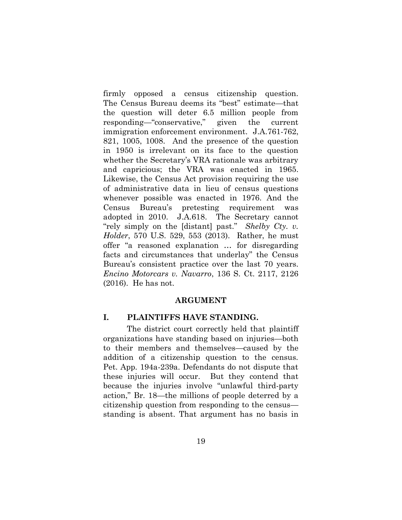firmly opposed a census citizenship question. The Census Bureau deems its "best" estimate—that the question will deter 6.5 million people from responding—"conservative," given the current immigration enforcement environment. J.A.761-762, 821, 1005, 1008. And the presence of the question in 1950 is irrelevant on its face to the question whether the Secretary's VRA rationale was arbitrary and capricious; the VRA was enacted in 1965. Likewise, the Census Act provision requiring the use of administrative data in lieu of census questions whenever possible was enacted in 1976. And the Census Bureau's pretesting requirement was adopted in 2010. J.A.618. The Secretary cannot "rely simply on the [distant] past." *Shelby Cty. v. Holder*, 570 U.S. 529, 553 (2013). Rather, he must offer "a reasoned explanation … for disregarding facts and circumstances that underlay" the Census Bureau's consistent practice over the last 70 years. *Encino Motorcars v. Navarro*, 136 S. Ct. 2117, 2126 (2016). He has not.

#### <span id="page-27-1"></span><span id="page-27-0"></span>**ARGUMENT**

#### **I. PLAINTIFFS HAVE STANDING.**

The district court correctly held that plaintiff organizations have standing based on injuries—both to their members and themselves—caused by the addition of a citizenship question to the census. Pet. App. 194a-239a. Defendants do not dispute that these injuries will occur. But they contend that because the injuries involve "unlawful third-party action," Br. 18—the millions of people deterred by a citizenship question from responding to the census standing is absent. That argument has no basis in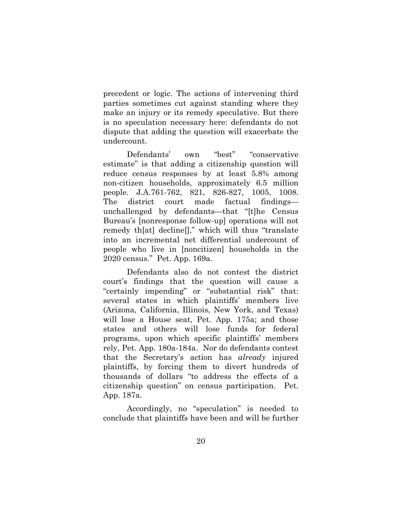precedent or logic. The actions of intervening third parties sometimes cut against standing where they make an injury or its remedy speculative. But there is no speculation necessary here: defendants do not dispute that adding the question will exacerbate the undercount.

Defendants' own "best" "conservative estimate" is that adding a citizenship question will reduce census responses by at least 5.8% among non-citizen households, approximately 6.5 million people. J.A.761-762, 821, 826-827, 1005, 1008. The district court made factual findings unchallenged by defendants—that "[t]he Census Bureau's [nonresponse follow-up] operations will not remedy th[at] decline[]," which will thus "translate into an incremental net differential undercount of people who live in [noncitizen] households in the 2020 census." Pet. App. 169a.

Defendants also do not contest the district court's findings that the question will cause a "certainly impending" or "substantial risk" that: several states in which plaintiffs' members live (Arizona, California, Illinois, New York, and Texas) will lose a House seat, Pet. App. 175a; and those states and others will lose funds for federal programs, upon which specific plaintiffs' members rely, Pet. App. 180a-184a. Nor do defendants contest that the Secretary's action has *already* injured plaintiffs, by forcing them to divert hundreds of thousands of dollars "to address the effects of a citizenship question" on census participation. Pet. App. 187a.

Accordingly, no "speculation" is needed to conclude that plaintiffs have been and will be further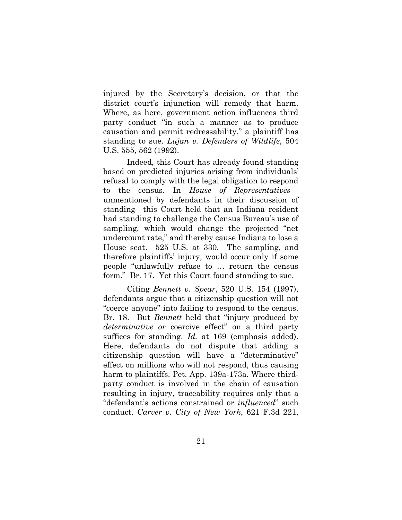injured by the Secretary's decision, or that the district court's injunction will remedy that harm. Where, as here, government action influences third party conduct "in such a manner as to produce causation and permit redressability," a plaintiff has standing to sue. *Lujan v. Defenders of Wildlife*, 504 U.S. 555, 562 (1992).

Indeed, this Court has already found standing based on predicted injuries arising from individuals' refusal to comply with the legal obligation to respond to the census. In *House of Representatives* unmentioned by defendants in their discussion of standing—this Court held that an Indiana resident had standing to challenge the Census Bureau's use of sampling, which would change the projected "net undercount rate," and thereby cause Indiana to lose a House seat. 525 U.S. at 330. The sampling, and therefore plaintiffs' injury, would occur only if some people "unlawfully refuse to … return the census form." Br. 17. Yet this Court found standing to sue.

Citing *Bennett v. Spear*, 520 U.S. 154 (1997), defendants argue that a citizenship question will not "coerce anyone" into failing to respond to the census. Br. 18. But *Bennett* held that "injury produced by *determinative or* coercive effect" on a third party suffices for standing. *Id.* at 169 (emphasis added). Here, defendants do not dispute that adding a citizenship question will have a "determinative" effect on millions who will not respond, thus causing harm to plaintiffs. Pet. App. 139a-173a. Where thirdparty conduct is involved in the chain of causation resulting in injury, traceability requires only that a "defendant's actions constrained or *influenced*" such conduct. *Carver v. City of New York*, 621 F.3d 221,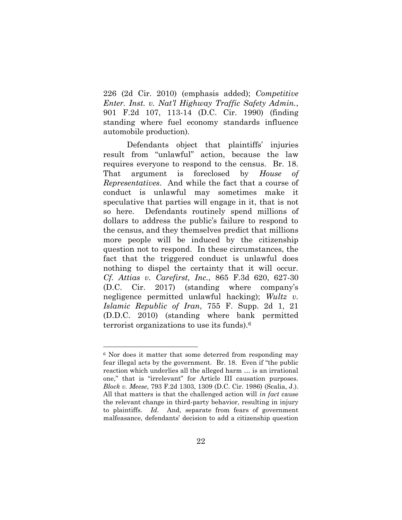226 (2d Cir. 2010) (emphasis added); *Competitive Enter. Inst. v. Nat'l Highway Traffic Safety Admin.*, 901 F.2d 107, 113-14 (D.C. Cir. 1990) (finding standing where fuel economy standards influence automobile production).

Defendants object that plaintiffs' injuries result from "unlawful" action, because the law requires everyone to respond to the census. Br. 18. That argument is foreclosed by *House of Representatives*.And while the fact that a course of conduct is unlawful may sometimes make it speculative that parties will engage in it, that is not so here. Defendants routinely spend millions of dollars to address the public's failure to respond to the census, and they themselves predict that millions more people will be induced by the citizenship question not to respond. In these circumstances, the fact that the triggered conduct is unlawful does nothing to dispel the certainty that it will occur. *Cf. Attias v. Carefirst, Inc.*, 865 F.3d 620, 627-30 (D.C. Cir. 2017) (standing where company's negligence permitted unlawful hacking); *Wultz v. Islamic Republic of Iran*, 755 F. Supp. 2d 1, 21 (D.D.C. 2010) (standing where bank permitted terrorist organizations to use its funds). 6

l

<sup>6</sup> Nor does it matter that some deterred from responding may fear illegal acts by the government. Br. 18. Even if "the public reaction which underlies all the alleged harm … is an irrational one," that is "irrelevant" for Article III causation purposes. *Block v. Meese*, 793 F.2d 1303, 1309 (D.C. Cir. 1986) (Scalia, J.). All that matters is that the challenged action will *in fact* cause the relevant change in third-party behavior, resulting in injury to plaintiffs. *Id.* And, separate from fears of government malfeasance, defendants' decision to add a citizenship question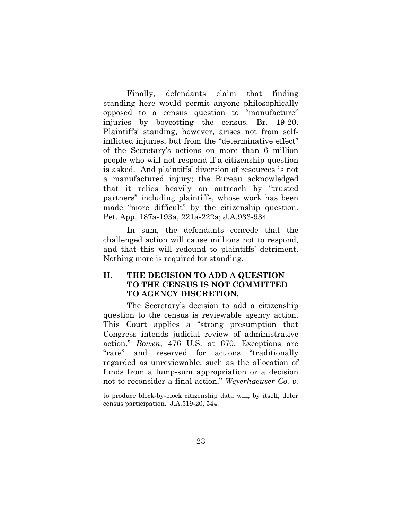Finally, defendants claim that finding standing here would permit anyone philosophically opposed to a census question to "manufacture" injuries by boycotting the census. Br. 19-20. Plaintiffs' standing, however, arises not from selfinflicted injuries, but from the "determinative effect" of the Secretary's actions on more than 6 million people who will not respond if a citizenship question is asked. And plaintiffs' diversion of resources is not a manufactured injury; the Bureau acknowledged that it relies heavily on outreach by "trusted partners" including plaintiffs, whose work has been made "more difficult" by the citizenship question. Pet. App. 187a-193a, 221a-222a; J.A.933-934.

In sum, the defendants concede that the challenged action will cause millions not to respond, and that this will redound to plaintiffs' detriment. Nothing more is required for standing.

## **II. THE DECISION TO ADD A QUESTION TO THE CENSUS IS NOT COMMITTED TO AGENCY DISCRETION.**

<span id="page-31-0"></span>The Secretary's decision to add a citizenship question to the census is reviewable agency action. This Court applies a "strong presumption that Congress intends judicial review of administrative action." *Bowen*, 476 U.S. at 670. Exceptions are "rare" and reserved for actions "traditionally regarded as unreviewable, such as the allocation of funds from a lump-sum appropriation or a decision not to reconsider a final action," *Weyerhaeuser Co. v.* 1

to produce block-by-block citizenship data will, by itself, deter census participation. J.A.519-20, 544.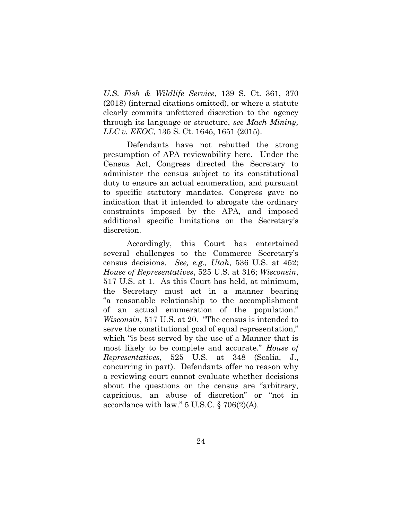*U.S. Fish & Wildlife Service*, 139 S. Ct. 361, 370 (2018) (internal citations omitted), or where a statute clearly commits unfettered discretion to the agency through its language or structure, *see Mach Mining, LLC v. EEOC*, 135 S. Ct. 1645, 1651 (2015).

Defendants have not rebutted the strong presumption of APA reviewability here. Under the Census Act, Congress directed the Secretary to administer the census subject to its constitutional duty to ensure an actual enumeration, and pursuant to specific statutory mandates. Congress gave no indication that it intended to abrogate the ordinary constraints imposed by the APA, and imposed additional specific limitations on the Secretary's discretion.

Accordingly, this Court has entertained several challenges to the Commerce Secretary's census decisions. *See, e.g., Utah*, 536 U.S. at 452; *House of Representatives*, 525 U.S. at 316; *Wisconsin*, 517 U.S. at 1. As this Court has held, at minimum, the Secretary must act in a manner bearing "a reasonable relationship to the accomplishment of an actual enumeration of the population." *Wisconsin*, 517 U.S. at 20. "The census is intended to serve the constitutional goal of equal representation," which "is best served by the use of a Manner that is most likely to be complete and accurate." *House of Representatives*, 525 U.S. at 348 (Scalia, J., concurring in part). Defendants offer no reason why a reviewing court cannot evaluate whether decisions about the questions on the census are "arbitrary, capricious, an abuse of discretion" or "not in accordance with law."  $5 \text{ U.S.C.}$  §  $706(2)(\text{A}).$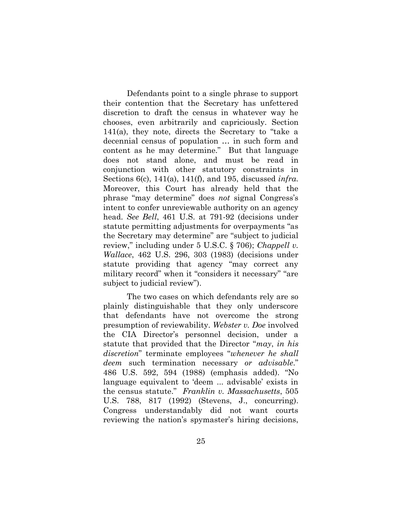Defendants point to a single phrase to support their contention that the Secretary has unfettered discretion to draft the census in whatever way he chooses, even arbitrarily and capriciously. Section 141(a), they note, directs the Secretary to "take a decennial census of population … in such form and content as he may determine." But that language does not stand alone, and must be read in conjunction with other statutory constraints in Sections 6(c), 141(a), 141(f), and 195, discussed *infra*. Moreover, this Court has already held that the phrase "may determine" does *not* signal Congress's intent to confer unreviewable authority on an agency head. *See Bell*, 461 U.S. at 791-92 (decisions under statute permitting adjustments for overpayments "as the Secretary may determine" are "subject to judicial review," including under 5 U.S.C. § 706); *Chappell v. Wallace*, 462 U.S. 296, 303 (1983) (decisions under statute providing that agency "may correct any military record" when it "considers it necessary" "are subject to judicial review").

The two cases on which defendants rely are so plainly distinguishable that they only underscore that defendants have not overcome the strong presumption of reviewability. *Webster v. Doe* involved the CIA Director's personnel decision, under a statute that provided that the Director "*may*, *in his discretion*" terminate employees "*whenever he shall deem* such termination necessary *or advisable*." 486 U.S. 592, 594 (1988) (emphasis added). "No language equivalent to 'deem ... advisable' exists in the census statute." *Franklin v. Massachusetts*, 505 U.S. 788, 817 (1992) (Stevens, J., concurring). Congress understandably did not want courts reviewing the nation's spymaster's hiring decisions,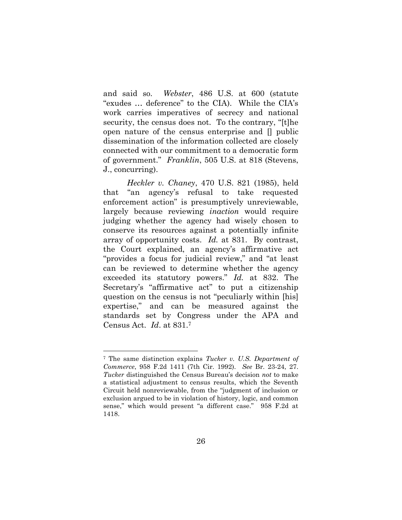and said so. *Webster*, 486 U.S. at 600 (statute "exudes … deference" to the CIA). While the CIA's work carries imperatives of secrecy and national security, the census does not. To the contrary, "[t]he open nature of the census enterprise and [] public dissemination of the information collected are closely connected with our commitment to a democratic form of government." *Franklin*, 505 U.S. at 818 (Stevens, J., concurring).

*Heckler v. Chaney*, 470 U.S. 821 (1985), held that "an agency's refusal to take requested enforcement action" is presumptively unreviewable, largely because reviewing *inaction* would require judging whether the agency had wisely chosen to conserve its resources against a potentially infinite array of opportunity costs. *Id.* at 831. By contrast, the Court explained, an agency's affirmative act "provides a focus for judicial review," and "at least can be reviewed to determine whether the agency exceeded its statutory powers." *Id.* at 832. The Secretary's "affirmative act" to put a citizenship question on the census is not "peculiarly within [his] expertise," and can be measured against the standards set by Congress under the APA and Census Act. *Id*. at 831.<sup>7</sup>

l

<sup>7</sup> The same distinction explains *Tucker v. U.S. Department of Commerce*, 958 F.2d 1411 (7th Cir. 1992)*. See* Br. 23-24, 27. *Tucker* distinguished the Census Bureau's decision *not* to make a statistical adjustment to census results, which the Seventh Circuit held nonreviewable, from the "judgment of inclusion or exclusion argued to be in violation of history, logic, and common sense," which would present "a different case." 958 F.2d at 1418.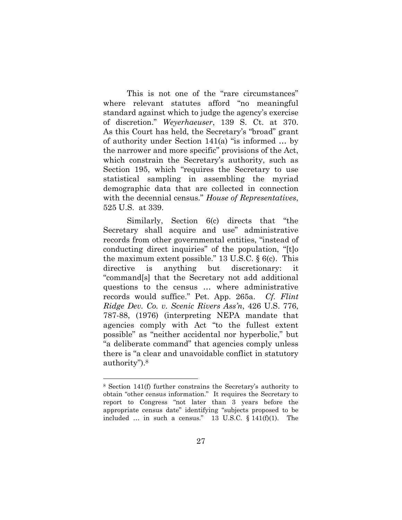This is not one of the "rare circumstances" where relevant statutes afford "no meaningful standard against which to judge the agency's exercise of discretion." *Weyerhaeuser*, 139 S. Ct. at 370. As this Court has held, the Secretary's "broad" grant of authority under Section 141(a) "is informed … by the narrower and more specific" provisions of the Act, which constrain the Secretary's authority, such as Section 195, which "requires the Secretary to use statistical sampling in assembling the myriad demographic data that are collected in connection with the decennial census." *House of Representatives*, 525 U.S. at 339.

Similarly, Section 6(c) directs that "the Secretary shall acquire and use" administrative records from other governmental entities, "instead of conducting direct inquiries" of the population, "[t]o the maximum extent possible." 13 U.S.C.  $\S$  6(c). This directive is anything but discretionary: it "command[s] that the Secretary not add additional questions to the census … where administrative records would suffice." Pet. App. 265a. *Cf. Flint Ridge Dev. Co. v. Scenic Rivers Ass'n*, 426 U.S. 776, 787-88, (1976) (interpreting NEPA mandate that agencies comply with Act "to the fullest extent possible" as "neither accidental nor hyperbolic," but "a deliberate command" that agencies comply unless there is "a clear and unavoidable conflict in statutory authority").<sup>8</sup>

l

<sup>8</sup> Section 141(f) further constrains the Secretary's authority to obtain "other census information." It requires the Secretary to report to Congress "not later than 3 years before the appropriate census date" identifying "subjects proposed to be included ... in such a census." 13 U.S.C.  $\S$  141(f)(1). The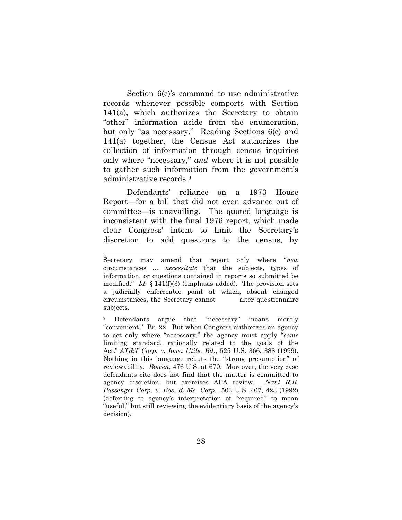Section 6(c)'s command to use administrative records whenever possible comports with Section 141(a), which authorizes the Secretary to obtain "other" information aside from the enumeration, but only "as necessary." Reading Sections 6(c) and 141(a) together, the Census Act authorizes the collection of information through census inquiries only where "necessary," *and* where it is not possible to gather such information from the government's administrative records.<sup>9</sup>

Defendants' reliance on a 1973 House Report—for a bill that did not even advance out of committee—is unavailing. The quoted language is inconsistent with the final 1976 report, which made clear Congress' intent to limit the Secretary's discretion to add questions to the census, by

<u>.</u>

Secretary may amend that report only where "*new* circumstances … *necessitate* that the subjects, types of information, or questions contained in reports so submitted be modified." *Id.* § 141(f)(3) (emphasis added). The provision sets a judicially enforceable point at which, absent changed circumstances, the Secretary cannot alter questionnaire subjects.

<sup>9</sup> Defendants argue that "necessary" means merely "convenient." Br. 22. But when Congress authorizes an agency to act only where "necessary," the agency must apply "*some*  limiting standard, rationally related to the goals of the Act." *AT&T Corp. v. Iowa Utils. Bd.*, 525 U.S. 366, 388 (1999). Nothing in this language rebuts the "strong presumption" of reviewability. *Bowen*, 476 U.S. at 670. Moreover, the very case defendants cite does not find that the matter is committed to agency discretion, but exercises APA review. *Nat'l R.R. Passenger Corp. v. Bos. & Me. Corp.*, 503 U.S. 407, 423 (1992) (deferring to agency's interpretation of "required" to mean "useful," but still reviewing the evidentiary basis of the agency's decision).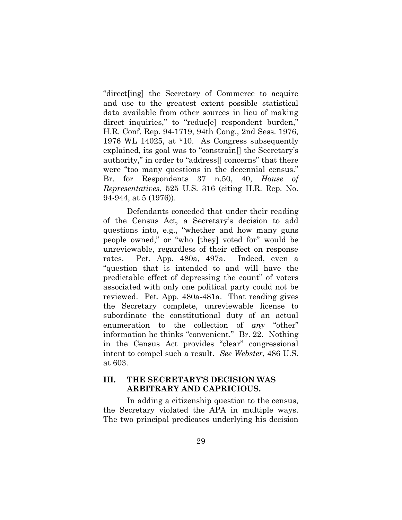"direct[ing] the Secretary of Commerce to acquire and use to the greatest extent possible statistical data available from other sources in lieu of making direct inquiries," to "reduc<sup>[e]</sup> respondent burden," H.R. Conf. Rep. 94-1719, 94th Cong., 2nd Sess. 1976, 1976 WL 14025, at \*10. As Congress subsequently explained, its goal was to "constrain[] the Secretary's authority," in order to "address[] concerns" that there were "too many questions in the decennial census." Br. for Respondents 37 n.50, 40, *House of Representatives*, 525 U.S. 316 (citing H.R. Rep. No. 94-944, at 5 (1976)).

Defendants conceded that under their reading of the Census Act, a Secretary's decision to add questions into, e.g., "whether and how many guns people owned," or "who [they] voted for" would be unreviewable, regardless of their effect on response rates. Pet. App. 480a, 497a. Indeed, even a "question that is intended to and will have the predictable effect of depressing the count" of voters associated with only one political party could not be reviewed. Pet. App. 480a-481a. That reading gives the Secretary complete, unreviewable license to subordinate the constitutional duty of an actual enumeration to the collection of *any* "other" information he thinks "convenient." Br. 22. Nothing in the Census Act provides "clear" congressional intent to compel such a result. *See Webster*, 486 U.S. at 603.

### **III. THE SECRETARY'S DECISION WAS ARBITRARY AND CAPRICIOUS.**

In adding a citizenship question to the census, the Secretary violated the APA in multiple ways. The two principal predicates underlying his decision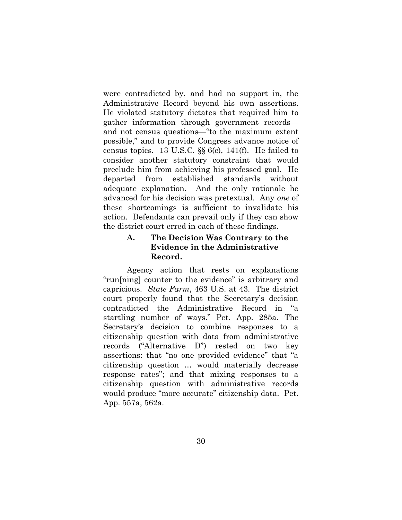were contradicted by, and had no support in, the Administrative Record beyond his own assertions. He violated statutory dictates that required him to gather information through government records and not census questions—"to the maximum extent possible," and to provide Congress advance notice of census topics. 13 U.S.C. §§ 6(c), 141(f). He failed to consider another statutory constraint that would preclude him from achieving his professed goal. He departed from established standards without adequate explanation. And the only rationale he advanced for his decision was pretextual. Any *one* of these shortcomings is sufficient to invalidate his action. Defendants can prevail only if they can show the district court erred in each of these findings.

### **A. The Decision Was Contrary to the Evidence in the Administrative Record.**

Agency action that rests on explanations "run[ning] counter to the evidence" is arbitrary and capricious. *State Farm*, 463 U.S. at 43. The district court properly found that the Secretary's decision contradicted the Administrative Record in "a startling number of ways." Pet. App. 285a. The Secretary's decision to combine responses to a citizenship question with data from administrative records ("Alternative D") rested on two key assertions: that "no one provided evidence" that "a citizenship question … would materially decrease response rates"; and that mixing responses to a citizenship question with administrative records would produce "more accurate" citizenship data. Pet. App. 557a, 562a.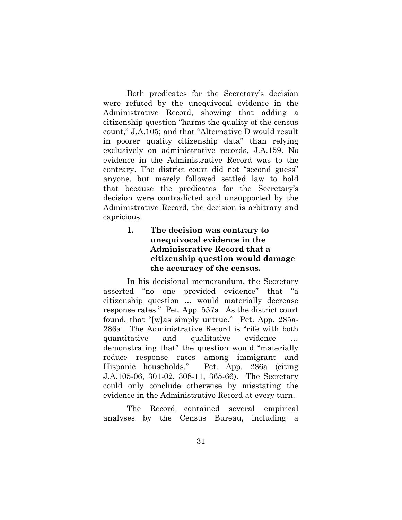Both predicates for the Secretary's decision were refuted by the unequivocal evidence in the Administrative Record, showing that adding a citizenship question "harms the quality of the census count," J.A.105; and that "Alternative D would result in poorer quality citizenship data" than relying exclusively on administrative records, J.A.159. No evidence in the Administrative Record was to the contrary. The district court did not "second guess" anyone, but merely followed settled law to hold that because the predicates for the Secretary's decision were contradicted and unsupported by the Administrative Record, the decision is arbitrary and capricious.

# **1. The decision was contrary to unequivocal evidence in the Administrative Record that a citizenship question would damage the accuracy of the census.**

In his decisional memorandum, the Secretary asserted "no one provided evidence" that "a citizenship question … would materially decrease response rates." Pet. App. 557a. As the district court found, that "[w]as simply untrue." Pet. App. 285a-286a. The Administrative Record is "rife with both quantitative and qualitative evidence … demonstrating that" the question would "materially reduce response rates among immigrant and Hispanic households." Pet. App. 286a (citing J.A.105-06, 301-02, 308-11, 365-66). The Secretary could only conclude otherwise by misstating the evidence in the Administrative Record at every turn.

The Record contained several empirical analyses by the Census Bureau, including a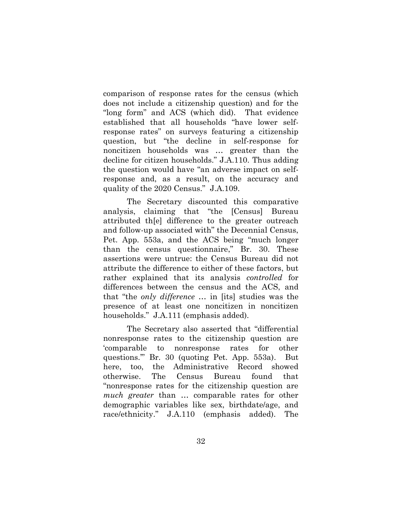comparison of response rates for the census (which does not include a citizenship question) and for the "long form" and ACS (which did). That evidence established that all households "have lower selfresponse rates" on surveys featuring a citizenship question, but "the decline in self-response for noncitizen households was … greater than the decline for citizen households." J.A.110. Thus adding the question would have "an adverse impact on selfresponse and, as a result, on the accuracy and quality of the 2020 Census." J.A.109.

The Secretary discounted this comparative analysis, claiming that "the [Census] Bureau attributed th[e] difference to the greater outreach and follow-up associated with" the Decennial Census, Pet. App. 553a, and the ACS being "much longer than the census questionnaire," Br. 30. These assertions were untrue: the Census Bureau did not attribute the difference to either of these factors, but rather explained that its analysis *controlled* for differences between the census and the ACS, and that "the *only difference* … in [its] studies was the presence of at least one noncitizen in noncitizen households." J.A.111 (emphasis added).

The Secretary also asserted that "differential nonresponse rates to the citizenship question are 'comparable to nonresponse rates for other questions.'" Br. 30 (quoting Pet. App. 553a). But here, too, the Administrative Record showed otherwise. The Census Bureau found that "nonresponse rates for the citizenship question are *much greater* than … comparable rates for other demographic variables like sex, birthdate/age, and race/ethnicity." J.A.110 (emphasis added). The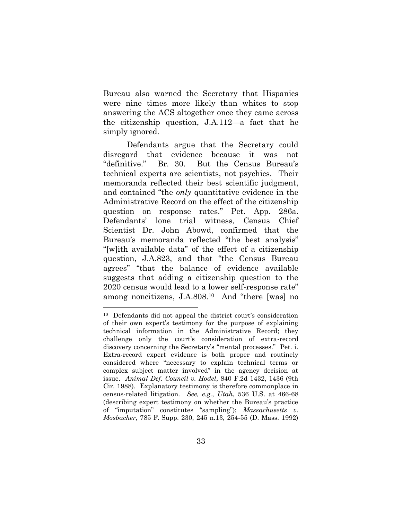Bureau also warned the Secretary that Hispanics were nine times more likely than whites to stop answering the ACS altogether once they came across the citizenship question, J.A.112—a fact that he simply ignored.

Defendants argue that the Secretary could disregard that evidence because it was not "definitive." Br. 30. But the Census Bureau's technical experts are scientists, not psychics. Their memoranda reflected their best scientific judgment, and contained "the *only* quantitative evidence in the Administrative Record on the effect of the citizenship question on response rates." Pet. App. 286a. Defendants' lone trial witness, Census Chief Scientist Dr. John Abowd, confirmed that the Bureau's memoranda reflected "the best analysis" "[w]ith available data" of the effect of a citizenship question, J.A.823, and that "the Census Bureau agrees" "that the balance of evidence available suggests that adding a citizenship question to the 2020 census would lead to a lower self-response rate" among noncitizens, J.A.808.10 And "there [was] no

l

<sup>10</sup> Defendants did not appeal the district court's consideration of their own expert's testimony for the purpose of explaining technical information in the Administrative Record; they challenge only the court's consideration of extra-record discovery concerning the Secretary's "mental processes." Pet. i. Extra-record expert evidence is both proper and routinely considered where "necessary to explain technical terms or complex subject matter involved" in the agency decision at issue. *Animal Def. Council v. Hodel*, 840 F.2d 1432, 1436 (9th Cir. 1988). Explanatory testimony is therefore commonplace in census-related litigation. *See, e.g.*, *Utah*, 536 U.S. at 466-68 (describing expert testimony on whether the Bureau's practice of "imputation" constitutes "sampling"); *Massachusetts v. Mosbacher*, 785 F. Supp. 230, 245 n.13, 254-55 (D. Mass. 1992)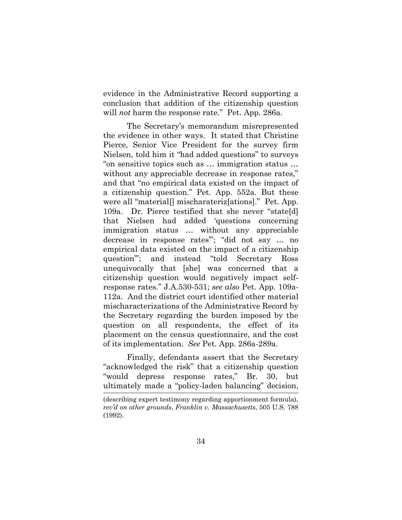evidence in the Administrative Record supporting a conclusion that addition of the citizenship question will *not* harm the response rate." Pet. App. 286a.

The Secretary's memorandum misrepresented the evidence in other ways. It stated that Christine Pierce, Senior Vice President for the survey firm Nielsen, told him it "had added questions" to surveys "on sensitive topics such as … immigration status … without any appreciable decrease in response rates," and that "no empirical data existed on the impact of a citizenship question." Pet. App. 552a. But these were all "material[] mischarateriz[ations]." Pet. App. 109a. Dr. Pierce testified that she never "state[d] that Nielsen had added 'questions concerning immigration status … without any appreciable decrease in response rates'"; "did not say … no empirical data existed on the impact of a citizenship question'"; and instead "told Secretary Ross unequivocally that [she] was concerned that a citizenship question would negatively impact selfresponse rates." J.A.530-531; *see also* Pet. App. 109a-112a. And the district court identified other material mischaracterizations of the Administrative Record by the Secretary regarding the burden imposed by the question on all respondents, the effect of its placement on the census questionnaire, and the cost of its implementation. *See* Pet. App. 286a-289a.

Finally, defendants assert that the Secretary "acknowledged the risk" that a citizenship question "would depress response rates," Br. 30, but ultimately made a "policy-laden balancing" decision,  $\frac{1}{\sqrt{2}}$ 

<sup>(</sup>describing expert testimony regarding apportionment formula), *rev'd on other grounds*, *Franklin v. Massachusetts*, 505 U.S. 788 (1992).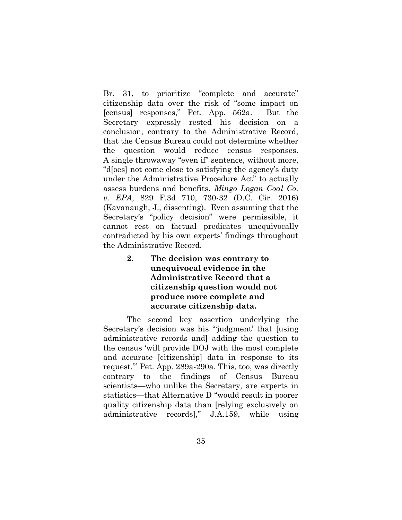Br. 31, to prioritize "complete and accurate" citizenship data over the risk of "some impact on [census] responses," Pet. App. 562a. But the Secretary expressly rested his decision on a conclusion, contrary to the Administrative Record, that the Census Bureau could not determine whether the question would reduce census responses. A single throwaway "even if" sentence, without more, "d[oes] not come close to satisfying the agency's duty under the Administrative Procedure Act" to actually assess burdens and benefits. *Mingo Logan Coal Co. v. EPA*, 829 F.3d 710, 730-32 (D.C. Cir. 2016) (Kavanaugh, J., dissenting).Even assuming that the Secretary's "policy decision" were permissible, it cannot rest on factual predicates unequivocally contradicted by his own experts' findings throughout the Administrative Record.

> **2. The decision was contrary to unequivocal evidence in the Administrative Record that a citizenship question would not produce more complete and accurate citizenship data.**

The second key assertion underlying the Secretary's decision was his "'judgment' that [using administrative records and] adding the question to the census 'will provide DOJ with the most complete and accurate [citizenship] data in response to its request.'" Pet. App. 289a-290a. This, too, was directly contrary to the findings of Census Bureau scientists—who unlike the Secretary, are experts in statistics—that Alternative D "would result in poorer quality citizenship data than [relying exclusively on administrative records]," J.A.159, while using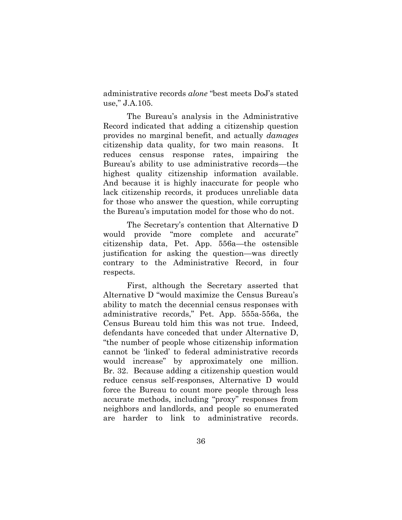administrative records *alone* "best meets DoJ's stated use," J.A.105.

The Bureau's analysis in the Administrative Record indicated that adding a citizenship question provides no marginal benefit, and actually *damages* citizenship data quality, for two main reasons. It reduces census response rates, impairing the Bureau's ability to use administrative records—the highest quality citizenship information available. And because it is highly inaccurate for people who lack citizenship records, it produces unreliable data for those who answer the question, while corrupting the Bureau's imputation model for those who do not.

The Secretary's contention that Alternative D would provide "more complete and accurate" citizenship data, Pet. App. 556a—the ostensible justification for asking the question—was directly contrary to the Administrative Record, in four respects.

First, although the Secretary asserted that Alternative D "would maximize the Census Bureau's ability to match the decennial census responses with administrative records," Pet. App. 555a-556a, the Census Bureau told him this was not true. Indeed, defendants have conceded that under Alternative D, "the number of people whose citizenship information cannot be 'linked' to federal administrative records would increase" by approximately one million. Br. 32. Because adding a citizenship question would reduce census self-responses, Alternative D would force the Bureau to count more people through less accurate methods, including "proxy" responses from neighbors and landlords, and people so enumerated are harder to link to administrative records.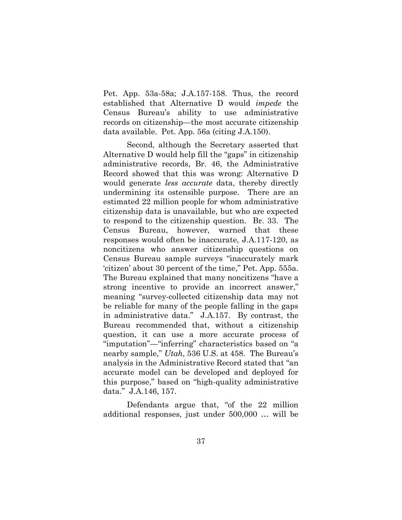Pet. App. 53a-58a; J.A.157-158. Thus, the record established that Alternative D would *impede* the Census Bureau's ability to use administrative records on citizenship—the most accurate citizenship data available. Pet. App. 56a (citing J.A.150).

Second, although the Secretary asserted that Alternative D would help fill the "gaps" in citizenship administrative records, Br. 46, the Administrative Record showed that this was wrong: Alternative D would generate *less accurate* data, thereby directly undermining its ostensible purpose. There are an estimated 22 million people for whom administrative citizenship data is unavailable, but who are expected to respond to the citizenship question. Br. 33. The Census Bureau, however, warned that these responses would often be inaccurate, J.A.117-120, as noncitizens who answer citizenship questions on Census Bureau sample surveys "inaccurately mark 'citizen' about 30 percent of the time," Pet. App. 555a. The Bureau explained that many noncitizens "have a strong incentive to provide an incorrect answer," meaning "survey-collected citizenship data may not be reliable for many of the people falling in the gaps in administrative data." J.A.157. By contrast, the Bureau recommended that, without a citizenship question, it can use a more accurate process of "imputation"—"inferring" characteristics based on "a nearby sample," *Utah*, 536 U.S. at 458. The Bureau's analysis in the Administrative Record stated that "an accurate model can be developed and deployed for this purpose," based on "high-quality administrative data." J.A.146, 157.

Defendants argue that, "of the 22 million additional responses, just under 500,000 … will be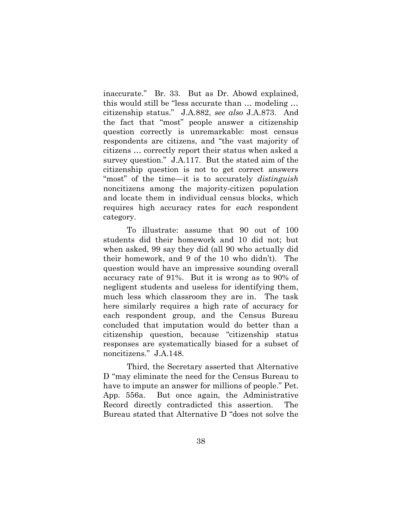inaccurate." Br. 33. But as Dr. Abowd explained, this would still be "less accurate than … modeling … citizenship status." J.A.882, *see also* J.A.873. And the fact that "most" people answer a citizenship question correctly is unremarkable: most census respondents are citizens, and "the vast majority of citizens … correctly report their status when asked a survey question." J.A.117. But the stated aim of the citizenship question is not to get correct answers "most" of the time—it is to accurately *distinguish* noncitizens among the majority-citizen population and locate them in individual census blocks, which requires high accuracy rates for *each* respondent category.

To illustrate: assume that 90 out of 100 students did their homework and 10 did not; but when asked, 99 say they did (all 90 who actually did their homework, and 9 of the 10 who didn't). The question would have an impressive sounding overall accuracy rate of 91%. But it is wrong as to 90% of negligent students and useless for identifying them, much less which classroom they are in. The task here similarly requires a high rate of accuracy for each respondent group, and the Census Bureau concluded that imputation would do better than a citizenship question, because "citizenship status responses are systematically biased for a subset of noncitizens." J.A.148.

Third, the Secretary asserted that Alternative D "may eliminate the need for the Census Bureau to have to impute an answer for millions of people." Pet. App. 556a. But once again, the Administrative Record directly contradicted this assertion. The Bureau stated that Alternative D "does not solve the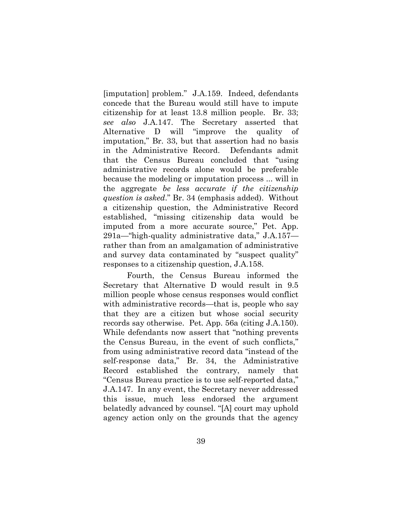[imputation] problem." J.A.159. Indeed, defendants concede that the Bureau would still have to impute citizenship for at least 13.8 million people. Br. 33; *see also* J.A.147. The Secretary asserted that Alternative D will "improve the quality of imputation," Br. 33, but that assertion had no basis in the Administrative Record. Defendants admit that the Census Bureau concluded that "using administrative records alone would be preferable because the modeling or imputation process ... will in the aggregate *be less accurate if the citizenship question is asked*." Br. 34 (emphasis added). Without a citizenship question, the Administrative Record established, "missing citizenship data would be imputed from a more accurate source," Pet. App. 291a—"high-quality administrative data," J.A.157 rather than from an amalgamation of administrative and survey data contaminated by "suspect quality" responses to a citizenship question, J.A.158.

Fourth, the Census Bureau informed the Secretary that Alternative D would result in 9.5 million people whose census responses would conflict with administrative records—that is, people who say that they are a citizen but whose social security records say otherwise. Pet. App. 56a (citing J.A.150). While defendants now assert that "nothing prevents the Census Bureau, in the event of such conflicts," from using administrative record data "instead of the self-response data," Br. 34, the Administrative Record established the contrary, namely that "Census Bureau practice is to use self-reported data," J.A.147. In any event, the Secretary never addressed this issue, much less endorsed the argument belatedly advanced by counsel. "[A] court may uphold agency action only on the grounds that the agency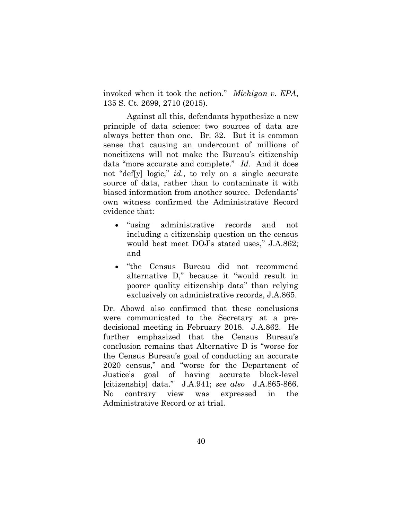invoked when it took the action." *Michigan v. EPA*, 135 S. Ct. 2699, 2710 (2015).

Against all this, defendants hypothesize a new principle of data science: two sources of data are always better than one. Br. 32. But it is common sense that causing an undercount of millions of noncitizens will not make the Bureau's citizenship data "more accurate and complete." *Id.* And it does not "def[y] logic," *id.*, to rely on a single accurate source of data, rather than to contaminate it with biased information from another source. Defendants' own witness confirmed the Administrative Record evidence that:

- "using administrative records and not including a citizenship question on the census would best meet DOJ's stated uses," J.A.862; and
- "the Census Bureau did not recommend alternative D," because it "would result in poorer quality citizenship data" than relying exclusively on administrative records, J.A.865.

Dr. Abowd also confirmed that these conclusions were communicated to the Secretary at a predecisional meeting in February 2018. J.A.862. He further emphasized that the Census Bureau's conclusion remains that Alternative D is "worse for the Census Bureau's goal of conducting an accurate 2020 census," and "worse for the Department of Justice's goal of having accurate block-level [citizenship] data." J.A.941; *see also* J.A.865-866. No contrary view was expressed in the Administrative Record or at trial.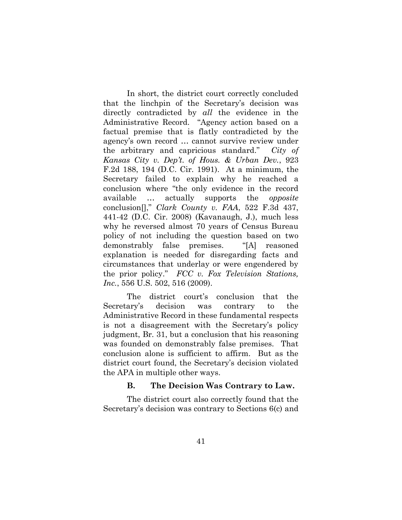In short, the district court correctly concluded that the linchpin of the Secretary's decision was directly contradicted by *all* the evidence in the Administrative Record. "Agency action based on a factual premise that is flatly contradicted by the agency's own record … cannot survive review under the arbitrary and capricious standard." *City of Kansas City v. Dep't. of Hous. & Urban Dev.*, 923 F.2d 188, 194 (D.C. Cir. 1991). At a minimum, the Secretary failed to explain why he reached a conclusion where "the only evidence in the record available … actually supports the *opposite* conclusion[]," *Clark County v. FAA*, 522 F.3d 437, 441-42 (D.C. Cir. 2008) (Kavanaugh, J.), much less why he reversed almost 70 years of Census Bureau policy of not including the question based on two demonstrably false premises. "[A] reasoned explanation is needed for disregarding facts and circumstances that underlay or were engendered by the prior policy." *FCC v. Fox Television Stations, Inc.*, 556 U.S. 502, 516 (2009).

The district court's conclusion that the Secretary's decision was contrary to the Administrative Record in these fundamental respects is not a disagreement with the Secretary's policy judgment, Br. 31, but a conclusion that his reasoning was founded on demonstrably false premises. That conclusion alone is sufficient to affirm. But as the district court found, the Secretary's decision violated the APA in multiple other ways.

#### **B. The Decision Was Contrary to Law.**

The district court also correctly found that the Secretary's decision was contrary to Sections 6(c) and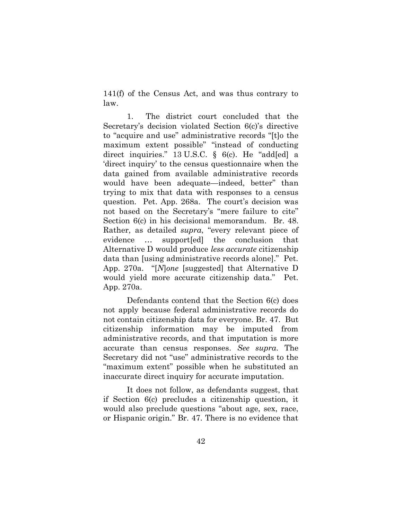141(f) of the Census Act, and was thus contrary to law.

1. The district court concluded that the Secretary's decision violated Section 6(c)'s directive to "acquire and use" administrative records "[t]o the maximum extent possible" "instead of conducting direct inquiries." 13 U.S.C. § 6(c). He "add[ed] a 'direct inquiry' to the census questionnaire when the data gained from available administrative records would have been adequate—indeed, better" than trying to mix that data with responses to a census question. Pet. App. 268a. The court's decision was not based on the Secretary's "mere failure to cite" Section 6(c) in his decisional memorandum. Br. 48. Rather, as detailed *supra*, "every relevant piece of evidence … support[ed] the conclusion that Alternative D would produce *less accurate* citizenship data than [using administrative records alone]." Pet. App. 270a. "[*N*]*one* [suggested] that Alternative D would yield more accurate citizenship data." Pet. App. 270a.

Defendants contend that the Section 6(c) does not apply because federal administrative records do not contain citizenship data for everyone. Br. 47. But citizenship information may be imputed from administrative records, and that imputation is more accurate than census responses. *See supra*. The Secretary did not "use" administrative records to the "maximum extent" possible when he substituted an inaccurate direct inquiry for accurate imputation.

It does not follow, as defendants suggest, that if Section 6(c) precludes a citizenship question, it would also preclude questions "about age, sex, race, or Hispanic origin." Br. 47. There is no evidence that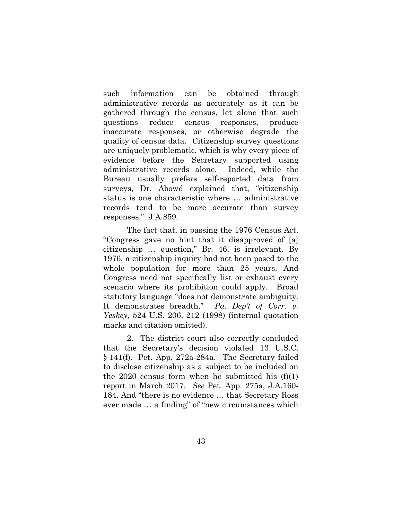such information can be obtained through administrative records as accurately as it can be gathered through the census, let alone that such questions reduce census responses, produce inaccurate responses, or otherwise degrade the quality of census data. Citizenship survey questions are uniquely problematic, which is why every piece of evidence before the Secretary supported using administrative records alone. Indeed, while the Bureau usually prefers self-reported data from surveys, Dr. Abowd explained that, "citizenship status is one characteristic where … administrative records tend to be more accurate than survey responses." J.A.859.

The fact that, in passing the 1976 Census Act, "Congress gave no hint that it disapproved of [a] citizenship … question," Br. 46, is irrelevant. By 1976, a citizenship inquiry had not been posed to the whole population for more than 25 years. And Congress need not specifically list or exhaust every scenario where its prohibition could apply. Broad statutory language "does not demonstrate ambiguity. It demonstrates breadth." *Pa. Dep't of Corr. v. Yeskey*, 524 U.S. 206, 212 (1998) (internal quotation marks and citation omitted).

2. The district court also correctly concluded that the Secretary's decision violated 13 U.S.C. § 141(f). Pet. App. 272a-284a. The Secretary failed to disclose citizenship as a subject to be included on the 2020 census form when he submitted his  $(f)(1)$ report in March 2017. *See* Pet. App. 275a, J.A.160- 184. And "there is no evidence … that Secretary Ross ever made … a finding" of "new circumstances which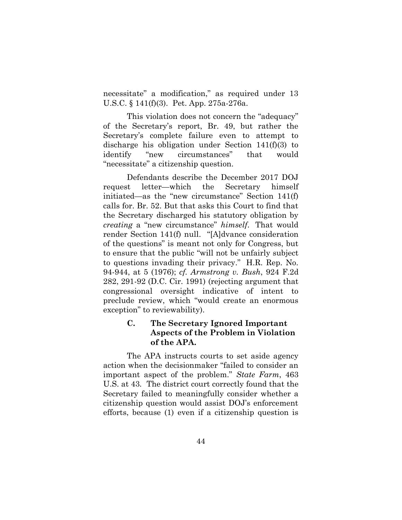necessitate" a modification," as required under 13 U.S.C. § 141(f)(3). Pet. App. 275a-276a.

This violation does not concern the "adequacy" of the Secretary's report, Br. 49, but rather the Secretary's complete failure even to attempt to discharge his obligation under Section 141(f)(3) to identify "new circumstances" that would "necessitate" a citizenship question.

Defendants describe the December 2017 DOJ request letter—which the Secretary himself initiated—as the "new circumstance" Section 141(f) calls for. Br. 52. But that asks this Court to find that the Secretary discharged his statutory obligation by *creating* a "new circumstance" *himself*. That would render Section 141(f) null. "[A]dvance consideration of the questions" is meant not only for Congress, but to ensure that the public "will not be unfairly subject to questions invading their privacy." H.R. Rep. No. 94-944, at 5 (1976); *cf. Armstrong v. Bush*, 924 F.2d 282, 291-92 (D.C. Cir. 1991) (rejecting argument that congressional oversight indicative of intent to preclude review, which "would create an enormous exception" to reviewability).

## **C. The Secretary Ignored Important Aspects of the Problem in Violation of the APA.**

The APA instructs courts to set aside agency action when the decisionmaker "failed to consider an important aspect of the problem." *State Farm*, 463 U.S. at 43*.* The district court correctly found that the Secretary failed to meaningfully consider whether a citizenship question would assist DOJ's enforcement efforts, because (1) even if a citizenship question is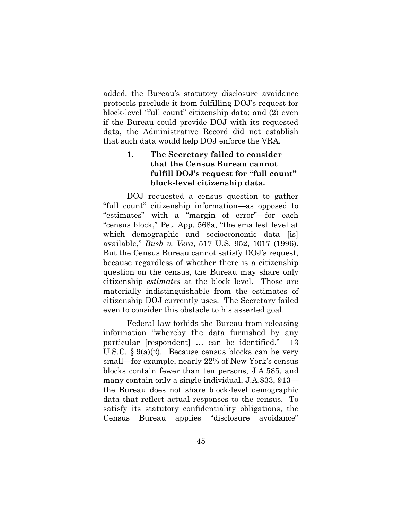added, the Bureau's statutory disclosure avoidance protocols preclude it from fulfilling DOJ's request for block-level "full count" citizenship data; and (2) even if the Bureau could provide DOJ with its requested data, the Administrative Record did not establish that such data would help DOJ enforce the VRA.

# **1. The Secretary failed to consider that the Census Bureau cannot fulfill DOJ's request for "full count" block-level citizenship data.**

DOJ requested a census question to gather "full count" citizenship information—as opposed to "estimates" with a "margin of error"—for each "census block," Pet. App. 568a, "the smallest level at which demographic and socioeconomic data [is] available," *Bush v. Vera*, 517 U.S. 952, 1017 (1996). But the Census Bureau cannot satisfy DOJ's request, because regardless of whether there is a citizenship question on the census, the Bureau may share only citizenship *estimates* at the block level. Those are materially indistinguishable from the estimates of citizenship DOJ currently uses. The Secretary failed even to consider this obstacle to his asserted goal.

Federal law forbids the Bureau from releasing information "whereby the data furnished by any particular [respondent] … can be identified." 13 U.S.C. § 9(a)(2). Because census blocks can be very small—for example, nearly 22% of New York's census blocks contain fewer than ten persons, J.A.585, and many contain only a single individual, J.A.833, 913 the Bureau does not share block-level demographic data that reflect actual responses to the census. To satisfy its statutory confidentiality obligations, the Census Bureau applies "disclosure avoidance"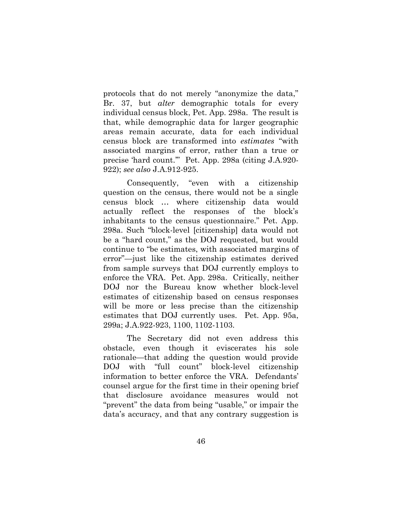protocols that do not merely "anonymize the data," Br. 37, but *alter* demographic totals for every individual census block, Pet. App. 298a. The result is that, while demographic data for larger geographic areas remain accurate, data for each individual census block are transformed into *estimates* "with associated margins of error, rather than a true or precise 'hard count.'" Pet. App. 298a (citing J.A.920- 922); *see also* J.A.912-925.

Consequently, "even with a citizenship question on the census, there would not be a single census block … where citizenship data would actually reflect the responses of the block's inhabitants to the census questionnaire." Pet. App. 298a. Such "block-level [citizenship] data would not be a "hard count," as the DOJ requested, but would continue to "be estimates, with associated margins of error"—just like the citizenship estimates derived from sample surveys that DOJ currently employs to enforce the VRA. Pet. App. 298a. Critically, neither DOJ nor the Bureau know whether block-level estimates of citizenship based on census responses will be more or less precise than the citizenship estimates that DOJ currently uses. Pet. App. 95a, 299a; J.A.922-923, 1100, 1102-1103.

The Secretary did not even address this obstacle, even though it eviscerates his sole rationale—that adding the question would provide DOJ with "full count" block-level citizenship information to better enforce the VRA. Defendants' counsel argue for the first time in their opening brief that disclosure avoidance measures would not "prevent" the data from being "usable," or impair the data's accuracy, and that any contrary suggestion is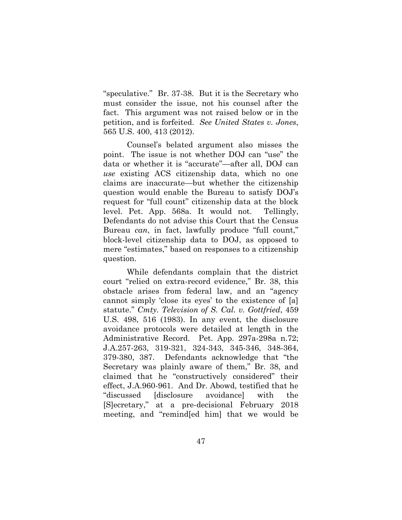"speculative." Br. 37-38. But it is the Secretary who must consider the issue, not his counsel after the fact. This argument was not raised below or in the petition, and is forfeited. *See United States v. Jones*, 565 U.S. 400, 413 (2012).

Counsel's belated argument also misses the point. The issue is not whether DOJ can "use" the data or whether it is "accurate"—after all, DOJ can *use* existing ACS citizenship data, which no one claims are inaccurate—but whether the citizenship question would enable the Bureau to satisfy DOJ's request for "full count" citizenship data at the block level. Pet. App. 568a. It would not. Tellingly, Defendants do not advise this Court that the Census Bureau *can*, in fact, lawfully produce "full count," block-level citizenship data to DOJ, as opposed to mere "estimates," based on responses to a citizenship question.

While defendants complain that the district court "relied on extra-record evidence," Br. 38, this obstacle arises from federal law, and an "agency cannot simply 'close its eyes' to the existence of [a] statute." *Cmty. Television of S. Cal. v. Gottfried*, 459 U.S. 498, 516 (1983). In any event, the disclosure avoidance protocols were detailed at length in the Administrative Record. Pet. App. 297a-298a n.72; J.A.257-263, 319-321, 324-343, 345-346, 348-364, 379-380, 387. Defendants acknowledge that "the Secretary was plainly aware of them," Br. 38, and claimed that he "constructively considered" their effect, J.A.960-961. And Dr. Abowd, testified that he "discussed [disclosure avoidance] with the [S]ecretary," at a pre-decisional February 2018 meeting, and "remind[ed him] that we would be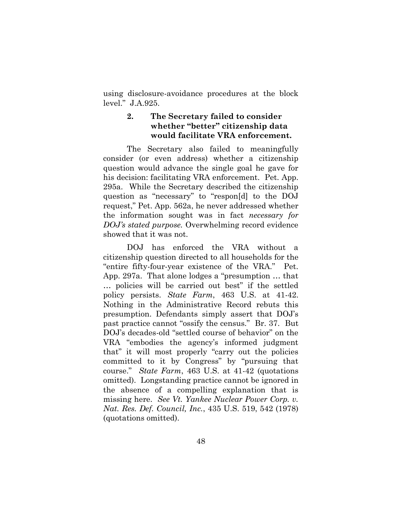using disclosure-avoidance procedures at the block level." J.A.925.

## **2. The Secretary failed to consider whether "better" citizenship data would facilitate VRA enforcement.**

The Secretary also failed to meaningfully consider (or even address) whether a citizenship question would advance the single goal he gave for his decision: facilitating VRA enforcement. Pet. App. 295a. While the Secretary described the citizenship question as "necessary" to "respon[d] to the DOJ request," Pet. App. 562a, he never addressed whether the information sought was in fact *necessary for DOJ's stated purpose.* Overwhelming record evidence showed that it was not.

DOJ has enforced the VRA without a citizenship question directed to all households for the "entire fifty-four-year existence of the VRA." Pet. App. 297a. That alone lodges a "presumption … that … policies will be carried out best" if the settled policy persists. *State Farm*, 463 U.S. at 41-42. Nothing in the Administrative Record rebuts this presumption. Defendants simply assert that DOJ's past practice cannot "ossify the census." Br. 37. But DOJ's decades-old "settled course of behavior" on the VRA "embodies the agency's informed judgment that" it will most properly "carry out the policies committed to it by Congress" by "pursuing that course." *State Farm*, 463 U.S. at 41-42 (quotations omitted). Longstanding practice cannot be ignored in the absence of a compelling explanation that is missing here. *See Vt. Yankee Nuclear Power Corp. v. Nat. Res. Def. Council, Inc.*, 435 U.S. 519, 542 (1978) (quotations omitted).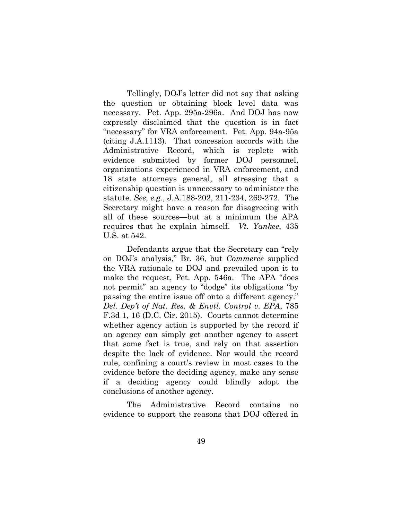Tellingly, DOJ's letter did not say that asking the question or obtaining block level data was necessary. Pet. App. 295a-296a. And DOJ has now expressly disclaimed that the question is in fact "necessary" for VRA enforcement. Pet. App. 94a-95a (citing J.A.1113). That concession accords with the Administrative Record, which is replete with evidence submitted by former DOJ personnel, organizations experienced in VRA enforcement, and 18 state attorneys general, all stressing that a citizenship question is unnecessary to administer the statute. *See, e.g.*, J.A.188-202, 211-234, 269-272. The Secretary might have a reason for disagreeing with all of these sources—but at a minimum the APA requires that he explain himself. *Vt. Yankee*, 435 U.S. at 542.

Defendants argue that the Secretary can "rely on DOJ's analysis," Br. 36, but *Commerce* supplied the VRA rationale to DOJ and prevailed upon it to make the request, Pet. App. 546a. The APA "does not permit" an agency to "dodge" its obligations "by passing the entire issue off onto a different agency." *Del. Dep't of Nat. Res. & Envtl. Control v. EPA*, 785 F.3d 1, 16 (D.C. Cir. 2015). Courts cannot determine whether agency action is supported by the record if an agency can simply get another agency to assert that some fact is true, and rely on that assertion despite the lack of evidence. Nor would the record rule, confining a court's review in most cases to the evidence before the deciding agency, make any sense if a deciding agency could blindly adopt the conclusions of another agency.

The Administrative Record contains no evidence to support the reasons that DOJ offered in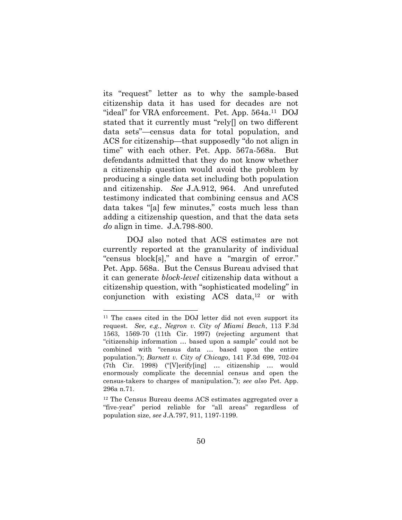its "request" letter as to why the sample-based citizenship data it has used for decades are not "ideal" for VRA enforcement. Pet. App. 564a. <sup>11</sup> DOJ stated that it currently must "rely[] on two different data sets"—census data for total population, and ACS for citizenship—that supposedly "do not align in time" with each other. Pet. App. 567a-568a. But defendants admitted that they do not know whether a citizenship question would avoid the problem by producing a single data set including both population and citizenship. *See* J.A.912, 964. And unrefuted testimony indicated that combining census and ACS data takes "[a] few minutes," costs much less than adding a citizenship question, and that the data sets *do* align in time. J.A.798-800.

DOJ also noted that ACS estimates are not currently reported at the granularity of individual "census block[s]," and have a "margin of error." Pet. App. 568a. But the Census Bureau advised that it can generate *block-level* citizenship data without a citizenship question, with "sophisticated modeling" in conjunction with existing  $ACS$  data,<sup>12</sup> or with

l

<sup>11</sup> The cases cited in the DOJ letter did not even support its request. *See, e.g.*, *Negron v. City of Miami Beach*, 113 F.3d 1563, 1569-70 (11th Cir. 1997) (rejecting argument that "citizenship information … based upon a sample" could not be combined with "census data … based upon the entire population."); *Barnett v. City of Chicago*, 141 F.3d 699, 702-04 (7th Cir. 1998) ("[V]erify[ing] … citizenship … would enormously complicate the decennial census and open the census-takers to charges of manipulation."); *see also* Pet. App. 296a n.71.

<sup>12</sup> The Census Bureau deems ACS estimates aggregated over a "five-year" period reliable for "all areas" regardless of population size, *see* J.A.797, 911, 1197-1199.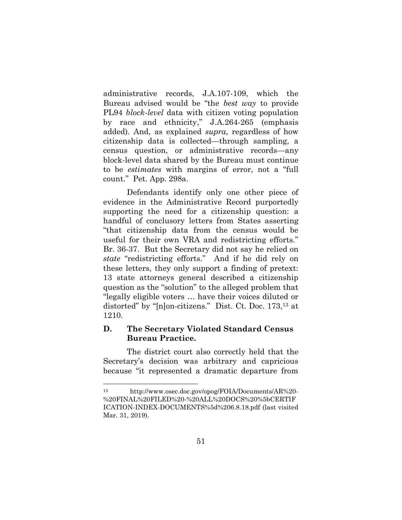administrative records, J.A.107-109, which the Bureau advised would be "the *best way* to provide PL94 *block-level* data with citizen voting population by race and ethnicity," J.A.264-265 (emphasis added). And, as explained *supra*, regardless of how citizenship data is collected—through sampling, a census question, or administrative records—any block-level data shared by the Bureau must continue to be *estimates* with margins of error, not a "full count." Pet. App. 298a.

Defendants identify only one other piece of evidence in the Administrative Record purportedly supporting the need for a citizenship question: a handful of conclusory letters from States asserting "that citizenship data from the census would be useful for their own VRA and redistricting efforts." Br. 36-37. But the Secretary did not say he relied on *state* "redistricting efforts." And if he did rely on these letters, they only support a finding of pretext: 13 state attorneys general described a citizenship question as the "solution" to the alleged problem that "legally eligible voters … have their voices diluted or distorted" by "[n]on-citizens." Dist. Ct. Doc. 173,<sup>13</sup> at 1210.

## **D. The Secretary Violated Standard Census Bureau Practice.**

The district court also correctly held that the Secretary's decision was arbitrary and capricious because "it represented a dramatic departure from

l

<sup>13</sup> [http://www.osec.doc.gov/opog/FOIA/Documents/AR%20-](http://www.osec.doc.gov/opog/FOIA/Documents/AR%20-%20FINAL%20FILED%20-%20ALL%20DOCS%20%5bCERTIF%20ICATION-INDEX-DOCUMENTS%5d%206.8.18.pdf) [%20FINAL%20FILED%20-%20ALL%20DOCS%20%5bCERTIF](http://www.osec.doc.gov/opog/FOIA/Documents/AR%20-%20FINAL%20FILED%20-%20ALL%20DOCS%20%5bCERTIF%20ICATION-INDEX-DOCUMENTS%5d%206.8.18.pdf)  [ICATION-INDEX-DOCUMENTS%5d%206.8.18.pdf](http://www.osec.doc.gov/opog/FOIA/Documents/AR%20-%20FINAL%20FILED%20-%20ALL%20DOCS%20%5bCERTIF%20ICATION-INDEX-DOCUMENTS%5d%206.8.18.pdf) (last visited Mar. 31, 2019).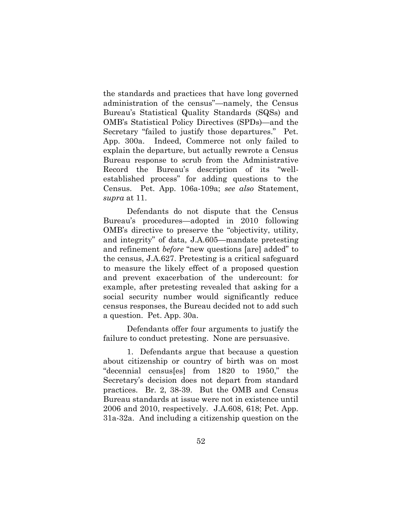the standards and practices that have long governed administration of the census"—namely, the Census Bureau's Statistical Quality Standards (SQSs) and OMB's Statistical Policy Directives (SPDs)—and the Secretary "failed to justify those departures." Pet. App. 300a. Indeed, Commerce not only failed to explain the departure, but actually rewrote a Census Bureau response to scrub from the Administrative Record the Bureau's description of its "wellestablished process" for adding questions to the Census. Pet. App. 106a-109a; *see also* Statement, *supra* at 11.

Defendants do not dispute that the Census Bureau's procedures—adopted in 2010 following OMB's directive to preserve the "objectivity, utility, and integrity" of data, J.A.605—mandate pretesting and refinement *before* "new questions [are] added" to the census, J.A.627. Pretesting is a critical safeguard to measure the likely effect of a proposed question and prevent exacerbation of the undercount: for example, after pretesting revealed that asking for a social security number would significantly reduce census responses, the Bureau decided not to add such a question. Pet. App. 30a.

Defendants offer four arguments to justify the failure to conduct pretesting. None are persuasive.

1. Defendants argue that because a question about citizenship or country of birth was on most "decennial census[es] from 1820 to 1950," the Secretary's decision does not depart from standard practices. Br. 2, 38-39. But the OMB and Census Bureau standards at issue were not in existence until 2006 and 2010, respectively. J.A.608, 618; Pet. App. 31a-32a. And including a citizenship question on the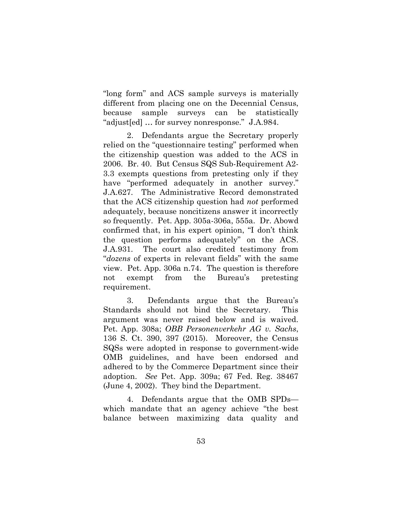"long form" and ACS sample surveys is materially different from placing one on the Decennial Census, because sample surveys can be statistically "adjust[ed] … for survey nonresponse." J.A.984.

2. Defendants argue the Secretary properly relied on the "questionnaire testing" performed when the citizenship question was added to the ACS in 2006. Br. 40. But Census SQS Sub-Requirement A2- 3.3 exempts questions from pretesting only if they have "performed adequately in another survey." J.A.627. The Administrative Record demonstrated that the ACS citizenship question had *not* performed adequately, because noncitizens answer it incorrectly so frequently. Pet. App. 305a-306a, 555a. Dr. Abowd confirmed that, in his expert opinion, "I don't think the question performs adequately" on the ACS. J.A.931. The court also credited testimony from "*dozens* of experts in relevant fields" with the same view. Pet. App. 306a n.74. The question is therefore not exempt from the Bureau's pretesting requirement.

3. Defendants argue that the Bureau's Standards should not bind the Secretary. This argument was never raised below and is waived. Pet. App. 308a; *OBB Personenverkehr AG v. Sachs*, 136 S. Ct. 390, 397 (2015). Moreover, the Census SQSs were adopted in response to government-wide OMB guidelines, and have been endorsed and adhered to by the Commerce Department since their adoption. *See* Pet. App. 309a; 67 Fed. Reg. 38467 (June 4, 2002). They bind the Department.

4. Defendants argue that the OMB SPDs which mandate that an agency achieve "the best balance between maximizing data quality and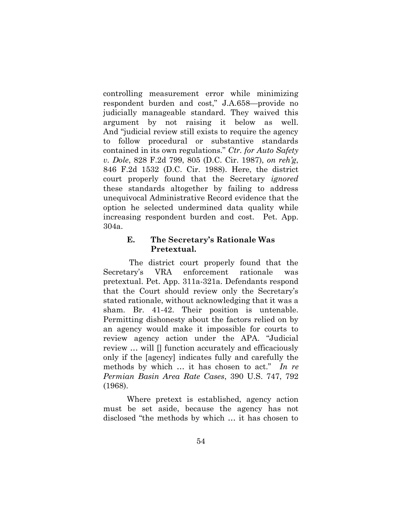controlling measurement error while minimizing respondent burden and cost," J.A.658—provide no judicially manageable standard. They waived this argument by not raising it below as well. And "judicial review still exists to require the agency to follow procedural or substantive standards contained in its own regulations." *Ctr. for Auto Safety v. Dole*, 828 F.2d 799, 805 (D.C. Cir. 1987), *on reh'g*, 846 F.2d 1532 (D.C. Cir. 1988). Here, the district court properly found that the Secretary *ignored* these standards altogether by failing to address unequivocal Administrative Record evidence that the option he selected undermined data quality while increasing respondent burden and cost. Pet. App. 304a.

### **E. The Secretary's Rationale Was Pretextual.**

The district court properly found that the Secretary's VRA enforcement rationale was pretextual. Pet. App. 311a-321a. Defendants respond that the Court should review only the Secretary's stated rationale, without acknowledging that it was a sham. Br. 41-42. Their position is untenable. Permitting dishonesty about the factors relied on by an agency would make it impossible for courts to review agency action under the APA. "Judicial review … will [] function accurately and efficaciously only if the [agency] indicates fully and carefully the methods by which … it has chosen to act." *In re Permian Basin Area Rate Cases*, 390 U.S. 747, 792 (1968).

Where pretext is established, agency action must be set aside, because the agency has not disclosed "the methods by which … it has chosen to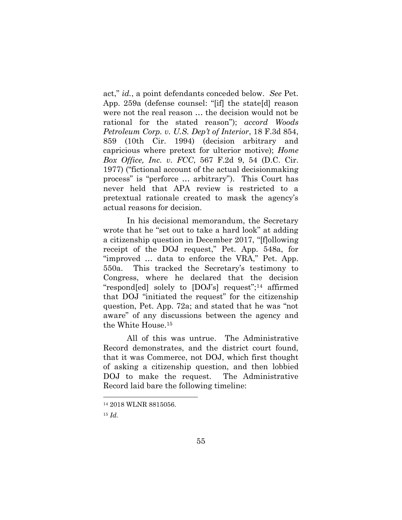act," *id.*, a point defendants conceded below. *See* Pet. App. 259a (defense counsel: "[if] the state[d] reason were not the real reason … the decision would not be rational for the stated reason"); *accord Woods Petroleum Corp. v. U.S. Dep't of Interior*, 18 F.3d 854, 859 (10th Cir. 1994) (decision arbitrary and capricious where pretext for ulterior motive); *Home Box Office, Inc. v. FCC*, 567 F.2d 9, 54 (D.C. Cir. 1977) ("fictional account of the actual decisionmaking process" is "perforce … arbitrary"). This Court has never held that APA review is restricted to a pretextual rationale created to mask the agency's actual reasons for decision.

In his decisional memorandum, the Secretary wrote that he "set out to take a hard look" at adding a citizenship question in December 2017, "[f]ollowing receipt of the DOJ request," Pet. App. 548a, for "improved … data to enforce the VRA," Pet. App. 550a. This tracked the Secretary's testimony to Congress, where he declared that the decision "respond[ed] solely to [DOJ's] request";<sup>14</sup> affirmed that DOJ "initiated the request" for the citizenship question, Pet. App. 72a; and stated that he was "not aware" of any discussions between the agency and the White House.<sup>15</sup>

All of this was untrue. The Administrative Record demonstrates, and the district court found, that it was Commerce, not DOJ, which first thought of asking a citizenship question, and then lobbied DOJ to make the request. The Administrative Record laid bare the following timeline:

l

<sup>14</sup> 2018 WLNR 8815056.

<sup>15</sup> *Id.*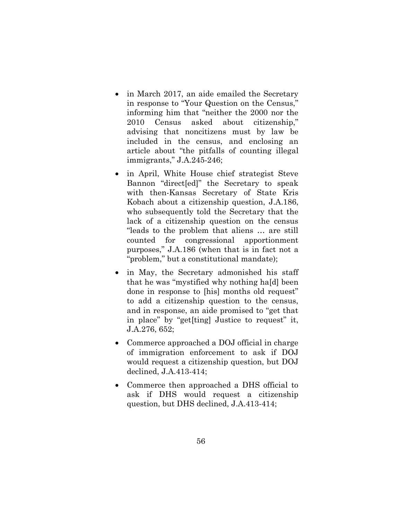- in March 2017, an aide emailed the Secretary in response to "Your Question on the Census," informing him that "neither the 2000 nor the 2010 Census asked about citizenship," advising that noncitizens must by law be included in the census, and enclosing an article about "the pitfalls of counting illegal immigrants," J.A.245-246;
- in April, White House chief strategist Steve Bannon "direct[ed]" the Secretary to speak with then-Kansas Secretary of State Kris Kobach about a citizenship question, J.A.186, who subsequently told the Secretary that the lack of a citizenship question on the census "leads to the problem that aliens … are still counted for congressional apportionment purposes," J.A.186 (when that is in fact not a "problem," but a constitutional mandate);
- in May, the Secretary admonished his staff that he was "mystified why nothing ha[d] been done in response to [his] months old request" to add a citizenship question to the census, and in response, an aide promised to "get that in place" by "get[ting] Justice to request" it, J.A.276, 652;
- Commerce approached a DOJ official in charge of immigration enforcement to ask if DOJ would request a citizenship question, but DOJ declined, J.A.413-414;
- Commerce then approached a DHS official to ask if DHS would request a citizenship question, but DHS declined, J.A.413-414;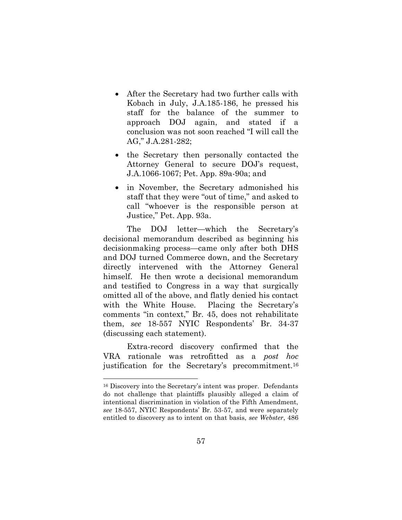- After the Secretary had two further calls with Kobach in July, J.A.185-186, he pressed his staff for the balance of the summer to approach DOJ again, and stated if a conclusion was not soon reached "I will call the AG," J.A.281-282;
- the Secretary then personally contacted the Attorney General to secure DOJ's request, J.A.1066-1067; Pet. App. 89a-90a; and
- in November, the Secretary admonished his staff that they were "out of time," and asked to call "whoever is the responsible person at Justice," Pet. App. 93a.

The DOJ letter—which the Secretary's decisional memorandum described as beginning his decisionmaking process—came only after both DHS and DOJ turned Commerce down, and the Secretary directly intervened with the Attorney General himself. He then wrote a decisional memorandum and testified to Congress in a way that surgically omitted all of the above, and flatly denied his contact with the White House. Placing the Secretary's comments "in context," Br. 45, does not rehabilitate them, *see* 18-557 NYIC Respondents' Br. 34-37 (discussing each statement).

Extra-record discovery confirmed that the VRA rationale was retrofitted as a *post hoc* justification for the Secretary's precommitment.<sup>16</sup>

l

<sup>16</sup> Discovery into the Secretary's intent was proper. Defendants do not challenge that plaintiffs plausibly alleged a claim of intentional discrimination in violation of the Fifth Amendment, *see* 18-557, NYIC Respondents' Br. 53-57, and were separately entitled to discovery as to intent on that basis, *see Webster*, 486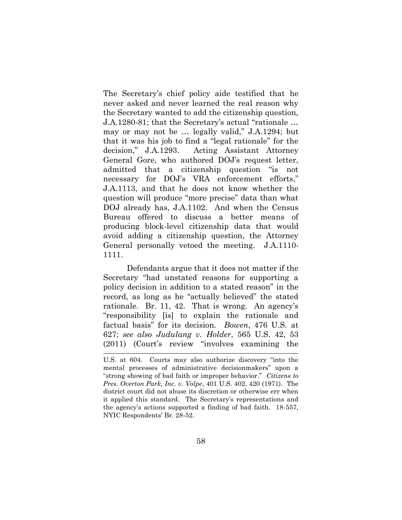The Secretary's chief policy aide testified that he never asked and never learned the real reason why the Secretary wanted to add the citizenship question, J.A.1280-81; that the Secretary's actual "rationale … may or may not be … legally valid," J.A.1294; but that it was his job to find a "legal rationale" for the decision," J.A.1293. Acting Assistant Attorney General Gore, who authored DOJ's request letter, admitted that a citizenship question "is not necessary for DOJ's VRA enforcement efforts," J.A.1113, and that he does not know whether the question will produce "more precise" data than what DOJ already has, J.A.1102. And when the Census Bureau offered to discuss a better means of producing block-level citizenship data that would avoid adding a citizenship question, the Attorney General personally vetoed the meeting. J.A.1110- 1111.

Defendants argue that it does not matter if the Secretary "had unstated reasons for supporting a policy decision in addition to a stated reason" in the record, as long as he "actually believed" the stated rationale. Br. 11, 42. That is wrong. An agency's "responsibility [is] to explain the rationale and factual basis" for its decision. *Bowen*, 476 U.S. at 627; *see also Judulang v. Holder*, 565 U.S. 42, 53 (2011) (Court's review "involves examining the

<sup>1</sup> U.S. at 604. Courts may also authorize discovery "into the mental processes of administrative decisionmakers" upon a "strong showing of bad faith or improper behavior." *Citizens to Pres. Overton Park, Inc. v. Volpe*, 401 U.S. 402, 420 (1971). The district court did not abuse its discretion or otherwise err when it applied this standard. The Secretary's representations and the agency's actions supported a finding of bad faith. 18-557, NYIC Respondents' Br. 28-52.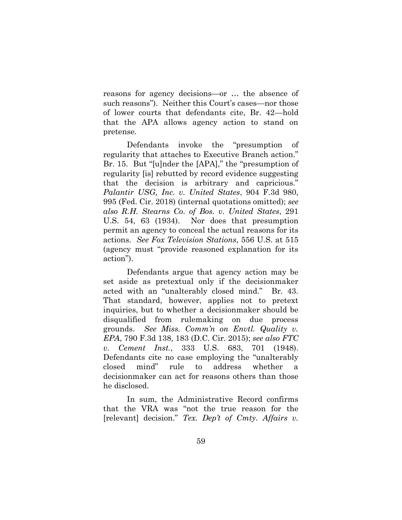reasons for agency decisions—or … the absence of such reasons"). Neither this Court's cases—nor those of lower courts that defendants cite, Br. 42—hold that the APA allows agency action to stand on pretense.

Defendants invoke the "presumption of regularity that attaches to Executive Branch action." Br. 15. But "[u]nder the [APA]," the "presumption of regularity [is] rebutted by record evidence suggesting that the decision is arbitrary and capricious." *Palantir USG, Inc. v. United States*, 904 F.3d 980, 995 (Fed. Cir. 2018) (internal quotations omitted); *see also R.H. Stearns Co. of Bos. v. United States*, 291 U.S. 54, 63 (1934). Nor does that presumption permit an agency to conceal the actual reasons for its actions. *See Fox Television Stations*, 556 U.S. at 515 (agency must "provide reasoned explanation for its action").

Defendants argue that agency action may be set aside as pretextual only if the decisionmaker acted with an "unalterably closed mind." Br. 43. That standard, however, applies not to pretext inquiries, but to whether a decisionmaker should be disqualified from rulemaking on due process grounds. *See Miss. Comm'n on Envtl. Quality v. EPA*, 790 F.3d 138, 183 (D.C. Cir. 2015); *see also FTC v. Cement Inst.*, 333 U.S. 683, 701 (1948). Defendants cite no case employing the "unalterably closed mind" rule to address whether decisionmaker can act for reasons others than those he disclosed.

In sum, the Administrative Record confirms that the VRA was "not the true reason for the [relevant] decision." *Tex. Dep't of Cmty. Affairs v.*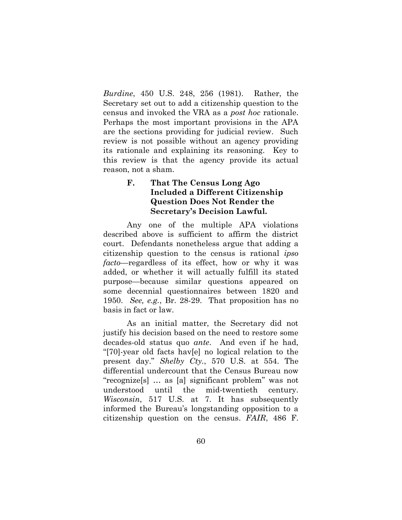*Burdine*, 450 U.S. 248, 256 (1981). Rather, the Secretary set out to add a citizenship question to the census and invoked the VRA as a *post hoc* rationale. Perhaps the most important provisions in the APA are the sections providing for judicial review. Such review is not possible without an agency providing its rationale and explaining its reasoning. Key to this review is that the agency provide its actual reason, not a sham.

# **F. That The Census Long Ago Included a Different Citizenship Question Does Not Render the Secretary's Decision Lawful.**

Any one of the multiple APA violations described above is sufficient to affirm the district court. Defendants nonetheless argue that adding a citizenship question to the census is rational *ipso facto*—regardless of its effect, how or why it was added, or whether it will actually fulfill its stated purpose—because similar questions appeared on some decennial questionnaires between 1820 and 1950. *See, e.g.*, Br. 28-29. That proposition has no basis in fact or law.

As an initial matter, the Secretary did not justify his decision based on the need to restore some decades-old status quo *ante*. And even if he had, "[70]-year old facts hav[e] no logical relation to the present day." *Shelby Cty.*, 570 U.S. at 554. The differential undercount that the Census Bureau now "recognize[s] … as [a] significant problem" was not understood until the mid-twentieth century. *Wisconsin*, 517 U.S. at 7. It has subsequently informed the Bureau's longstanding opposition to a citizenship question on the census. *FAIR*, 486 F.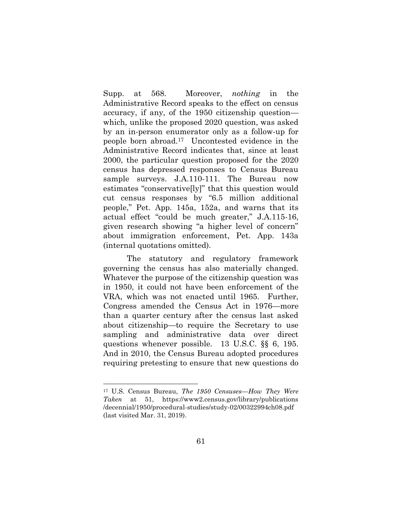Supp. at 568. Moreover, *nothing* in the Administrative Record speaks to the effect on census accuracy, if any, of the 1950 citizenship question which, unlike the proposed 2020 question, was asked by an in-person enumerator only as a follow-up for people born abroad.17 Uncontested evidence in the Administrative Record indicates that, since at least 2000, the particular question proposed for the 2020 census has depressed responses to Census Bureau sample surveys. J.A.110-111. The Bureau now estimates "conservative[ly]" that this question would cut census responses by "6.5 million additional people," Pet. App. 145a, 152a, and warns that its actual effect "could be much greater," J.A.115-16, given research showing "a higher level of concern" about immigration enforcement, Pet. App. 143a (internal quotations omitted).

The statutory and regulatory framework governing the census has also materially changed. Whatever the purpose of the citizenship question was in 1950, it could not have been enforcement of the VRA, which was not enacted until 1965. Further, Congress amended the Census Act in 1976—more than a quarter century after the census last asked about citizenship—to require the Secretary to use sampling and administrative data over direct questions whenever possible. 13 U.S.C. §§ 6, 195. And in 2010, the Census Bureau adopted procedures requiring pretesting to ensure that new questions do

l

<sup>17</sup> U.S. Census Bureau, *The 1950 Censuses—How They Were Taken* at 51, [https://www2.census.gov/library/publications](https://www2.census.gov/library/publications%20/decennial/1950/procedural-studies/study-02/00322994ch08.pdf)  [/decennial/1950/procedural-studies/study-02/00322994ch08.pdf](https://www2.census.gov/library/publications%20/decennial/1950/procedural-studies/study-02/00322994ch08.pdf) (last visited Mar. 31, 2019).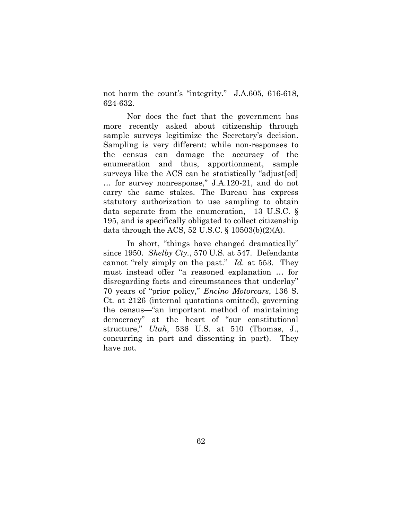not harm the count's "integrity." J.A.605, 616-618, 624-632.

Nor does the fact that the government has more recently asked about citizenship through sample surveys legitimize the Secretary's decision. Sampling is very different: while non-responses to the census can damage the accuracy of the enumeration and thus, apportionment, sample surveys like the ACS can be statistically "adjust[ed] … for survey nonresponse," J.A.120-21, and do not carry the same stakes. The Bureau has express statutory authorization to use sampling to obtain data separate from the enumeration, 13 U.S.C. § 195, and is specifically obligated to collect citizenship data through the ACS,  $52 \text{ U.S.C.}$  §  $10503(b)(2)(A)$ .

In short, "things have changed dramatically" since 1950. *Shelby Cty.*, 570 U.S. at 547. Defendants cannot "rely simply on the past." *Id.* at 553. They must instead offer "a reasoned explanation … for disregarding facts and circumstances that underlay" 70 years of "prior policy," *Encino Motorcars*, 136 S. Ct. at 2126 (internal quotations omitted), governing the census—"an important method of maintaining democracy" at the heart of "our constitutional structure," *Utah*, 536 U.S. at 510 (Thomas, J., concurring in part and dissenting in part). They have not.